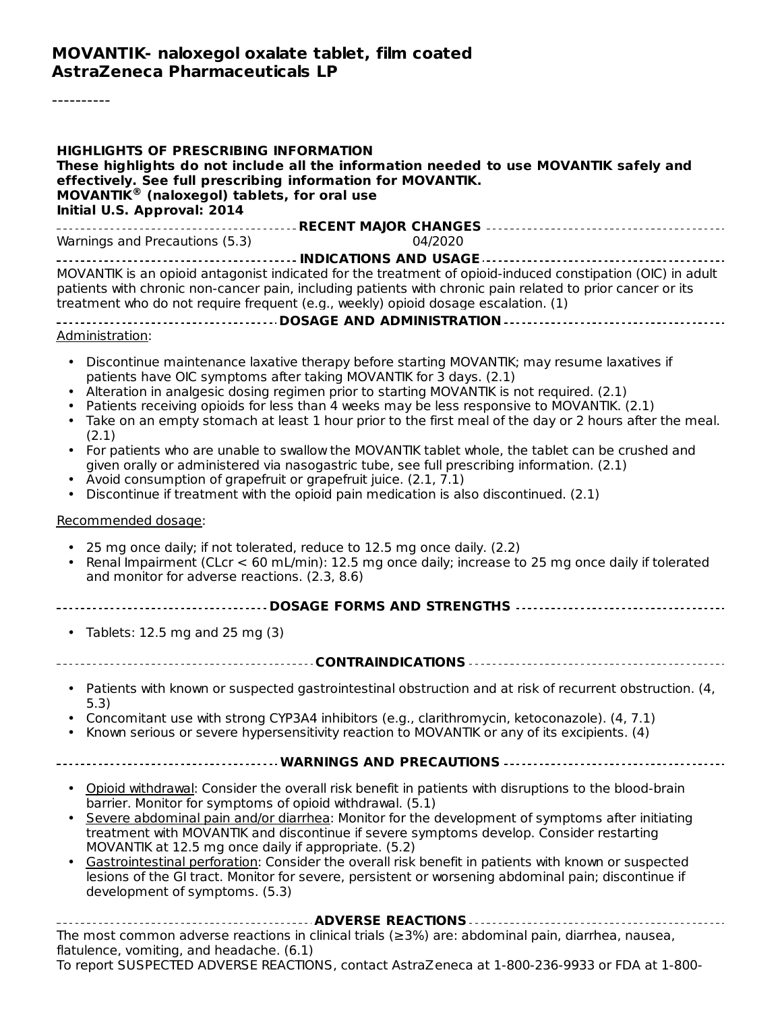----------

| <b>HIGHLIGHTS OF PRESCRIBING INFORMATION</b><br>These highlights do not include all the information needed to use MOVANTIK safely and<br>effectively. See full prescribing information for MOVANTIK.<br><b>MOVANTIK<sup>®</sup></b> (naloxegol) tablets, for oral use<br>Initial U.S. Approval: 2014                                                                                                                                                                                                                                                                                                                                                                                                                                                                                                                                          |
|-----------------------------------------------------------------------------------------------------------------------------------------------------------------------------------------------------------------------------------------------------------------------------------------------------------------------------------------------------------------------------------------------------------------------------------------------------------------------------------------------------------------------------------------------------------------------------------------------------------------------------------------------------------------------------------------------------------------------------------------------------------------------------------------------------------------------------------------------|
| Warnings and Precautions (5.3)<br>04/2020                                                                                                                                                                                                                                                                                                                                                                                                                                                                                                                                                                                                                                                                                                                                                                                                     |
|                                                                                                                                                                                                                                                                                                                                                                                                                                                                                                                                                                                                                                                                                                                                                                                                                                               |
| MOVANTIK is an opioid antagonist indicated for the treatment of opioid-induced constipation (OIC) in adult<br>patients with chronic non-cancer pain, including patients with chronic pain related to prior cancer or its<br>treatment who do not require frequent (e.g., weekly) opioid dosage escalation. (1)                                                                                                                                                                                                                                                                                                                                                                                                                                                                                                                                |
| Administration:                                                                                                                                                                                                                                                                                                                                                                                                                                                                                                                                                                                                                                                                                                                                                                                                                               |
| Discontinue maintenance laxative therapy before starting MOVANTIK; may resume laxatives if<br>patients have OIC symptoms after taking MOVANTIK for 3 days. (2.1)<br>Alteration in analgesic dosing regimen prior to starting MOVANTIK is not required. (2.1)<br>Patients receiving opioids for less than 4 weeks may be less responsive to MOVANTIK. (2.1)<br>Take on an empty stomach at least 1 hour prior to the first meal of the day or 2 hours after the meal.<br>(2.1)<br>• For patients who are unable to swallow the MOVANTIK tablet whole, the tablet can be crushed and<br>given orally or administered via nasogastric tube, see full prescribing information. (2.1)<br>• Avoid consumption of grapefruit or grapefruit juice. (2.1, 7.1)<br>Discontinue if treatment with the opioid pain medication is also discontinued. (2.1) |
| Recommended dosage:                                                                                                                                                                                                                                                                                                                                                                                                                                                                                                                                                                                                                                                                                                                                                                                                                           |
| 25 mg once daily; if not tolerated, reduce to 12.5 mg once daily. (2.2)<br>Renal Impairment (CLcr < 60 mL/min): 12.5 mg once daily; increase to 25 mg once daily if tolerated<br>and monitor for adverse reactions. (2.3, 8.6)                                                                                                                                                                                                                                                                                                                                                                                                                                                                                                                                                                                                                |
|                                                                                                                                                                                                                                                                                                                                                                                                                                                                                                                                                                                                                                                                                                                                                                                                                                               |
| • Tablets: 12.5 mg and 25 mg $(3)$                                                                                                                                                                                                                                                                                                                                                                                                                                                                                                                                                                                                                                                                                                                                                                                                            |
|                                                                                                                                                                                                                                                                                                                                                                                                                                                                                                                                                                                                                                                                                                                                                                                                                                               |
| Patients with known or suspected gastrointestinal obstruction and at risk of recurrent obstruction. (4,<br>$\bullet$<br>5.3)<br>Concomitant use with strong CYP3A4 inhibitors (e.g., clarithromycin, ketoconazole). (4, 7.1)                                                                                                                                                                                                                                                                                                                                                                                                                                                                                                                                                                                                                  |
| Known serious or severe hypersensitivity reaction to MOVANTIK or any of its excipients. (4)                                                                                                                                                                                                                                                                                                                                                                                                                                                                                                                                                                                                                                                                                                                                                   |
| ----------------------------- WARNINGS AND PRECAUTIONS --------------------------------                                                                                                                                                                                                                                                                                                                                                                                                                                                                                                                                                                                                                                                                                                                                                       |
| • Opioid withdrawal: Consider the overall risk benefit in patients with disruptions to the blood-brain<br>barrier. Monitor for symptoms of opioid withdrawal. (5.1)<br>Severe abdominal pain and/or diarrhea: Monitor for the development of symptoms after initiating<br>treatment with MOVANTIK and discontinue if severe symptoms develop. Consider restarting<br>MOVANTIK at 12.5 mg once daily if appropriate. (5.2)<br>Gastrointestinal perforation: Consider the overall risk benefit in patients with known or suspected<br>lesions of the GI tract. Monitor for severe, persistent or worsening abdominal pain; discontinue if<br>development of symptoms. (5.3)                                                                                                                                                                     |
| The most common adverse reactions in clinical trials ( $\geq$ 3%) are: abdominal pain, diarrhea, nausea,<br>flatulence, vomiting, and headache. (6.1)<br>To report SUSPECTED ADVERSE REACTIONS, contact AstraZeneca at 1-800-236-9933 or FDA at 1-800-                                                                                                                                                                                                                                                                                                                                                                                                                                                                                                                                                                                        |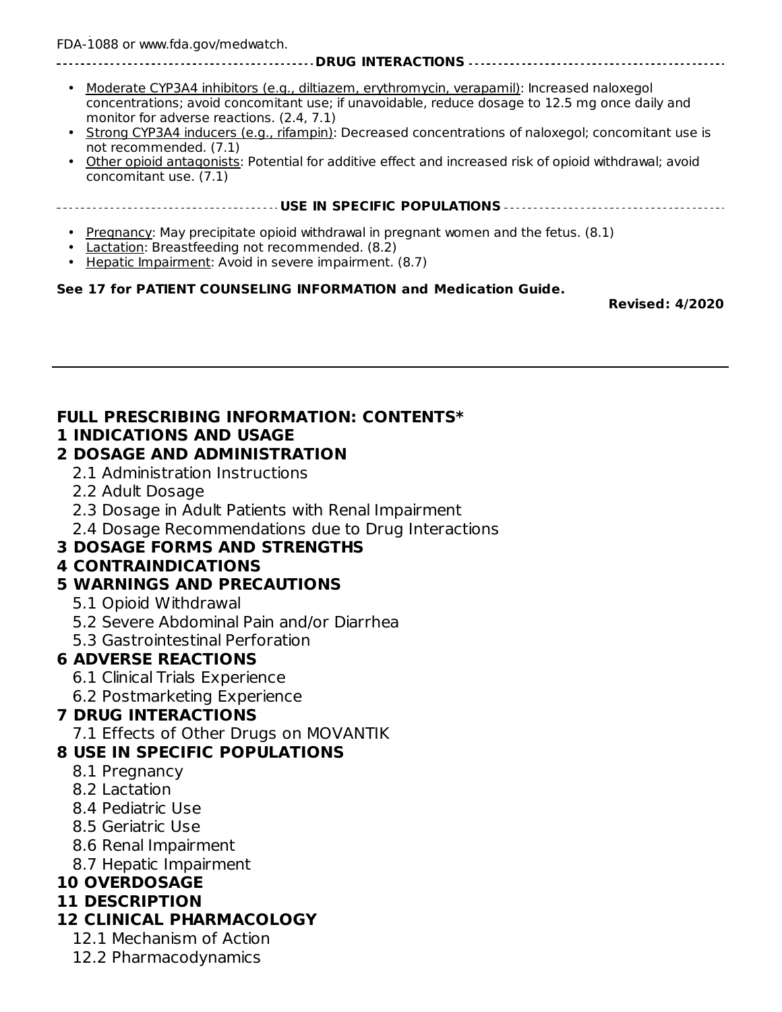To report SUSPECTED ADVERSE REACTIONS, contact AstraZeneca at 1-800-236-9933 or FDA at 1-800- FDA-1088 or www.fda.gov/medwatch.

#### **DRUG INTERACTIONS**

- Moderate CYP3A4 inhibitors (e.g., diltiazem, erythromycin, verapamil): Increased naloxegol concentrations; avoid concomitant use; if unavoidable, reduce dosage to 12.5 mg once daily and monitor for adverse reactions. (2.4, 7.1)
- Strong CYP3A4 inducers (e.g., rifampin): Decreased concentrations of naloxegol; concomitant use is not recommended. (7.1)
- Other opioid antagonists: Potential for additive effect and increased risk of opioid withdrawal; avoid concomitant use. (7.1)

**USE IN SPECIFIC POPULATIONS**

- Pregnancy: May precipitate opioid withdrawal in pregnant women and the fetus. (8.1)
- Lactation: Breastfeeding not recommended. (8.2)
- Hepatic Impairment: Avoid in severe impairment. (8.7)

#### **See 17 for PATIENT COUNSELING INFORMATION and Medication Guide.**

**Revised: 4/2020**

## **FULL PRESCRIBING INFORMATION: CONTENTS\***

#### **1 INDICATIONS AND USAGE**

#### **2 DOSAGE AND ADMINISTRATION**

- 2.1 Administration Instructions
- 2.2 Adult Dosage
- 2.3 Dosage in Adult Patients with Renal Impairment
- 2.4 Dosage Recommendations due to Drug Interactions

#### **3 DOSAGE FORMS AND STRENGTHS**

#### **4 CONTRAINDICATIONS**

#### **5 WARNINGS AND PRECAUTIONS**

- 5.1 Opioid Withdrawal
- 5.2 Severe Abdominal Pain and/or Diarrhea
- 5.3 Gastrointestinal Perforation

#### **6 ADVERSE REACTIONS**

- 6.1 Clinical Trials Experience
- 6.2 Postmarketing Experience

#### **7 DRUG INTERACTIONS**

7.1 Effects of Other Drugs on MOVANTIK

#### **8 USE IN SPECIFIC POPULATIONS**

- 8.1 Pregnancy
- 8.2 Lactation
- 8.4 Pediatric Use
- 8.5 Geriatric Use
- 8.6 Renal Impairment
- 8.7 Hepatic Impairment

## **10 OVERDOSAGE**

#### **11 DESCRIPTION**

#### **12 CLINICAL PHARMACOLOGY**

- 12.1 Mechanism of Action
- 12.2 Pharmacodynamics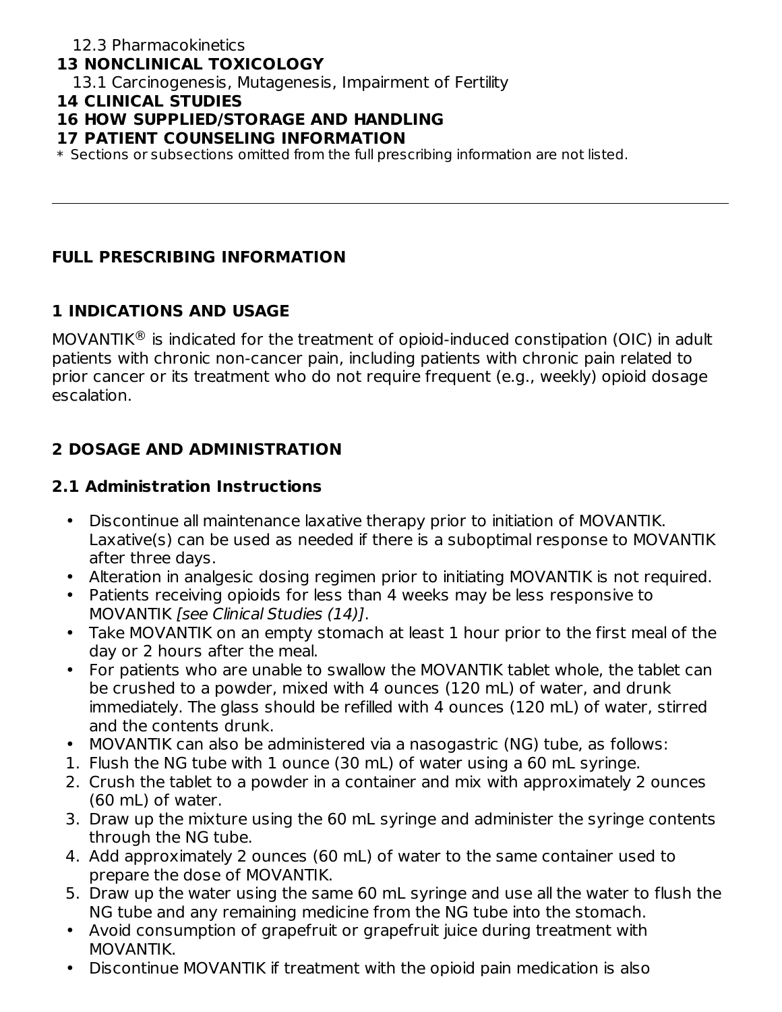### **13 NONCLINICAL TOXICOLOGY**

13.1 Carcinogenesis, Mutagenesis, Impairment of Fertility

#### **14 CLINICAL STUDIES**

### **16 HOW SUPPLIED/STORAGE AND HANDLING**

#### **17 PATIENT COUNSELING INFORMATION**

\* Sections or subsections omitted from the full prescribing information are not listed.

#### **FULL PRESCRIBING INFORMATION**

### **1 INDICATIONS AND USAGE**

MOVANTIK $^{\circledR}$  is indicated for the treatment of opioid-induced constipation (OIC) in adult patients with chronic non-cancer pain, including patients with chronic pain related to prior cancer or its treatment who do not require frequent (e.g., weekly) opioid dosage escalation.

## **2 DOSAGE AND ADMINISTRATION**

#### **2.1 Administration Instructions**

- Discontinue all maintenance laxative therapy prior to initiation of MOVANTIK. Laxative(s) can be used as needed if there is a suboptimal response to MOVANTIK after three days.
- Alteration in analgesic dosing regimen prior to initiating MOVANTIK is not required.
- Patients receiving opioids for less than 4 weeks may be less responsive to MOVANTIK [see Clinical Studies (14)].
- Take MOVANTIK on an empty stomach at least 1 hour prior to the first meal of the day or 2 hours after the meal.
- For patients who are unable to swallow the MOVANTIK tablet whole, the tablet can be crushed to a powder, mixed with 4 ounces (120 mL) of water, and drunk immediately. The glass should be refilled with 4 ounces (120 mL) of water, stirred and the contents drunk.
- MOVANTIK can also be administered via a nasogastric (NG) tube, as follows:
- 1. Flush the NG tube with 1 ounce (30 mL) of water using a 60 mL syringe.
- 2. Crush the tablet to a powder in a container and mix with approximately 2 ounces (60 mL) of water.
- 3. Draw up the mixture using the 60 mL syringe and administer the syringe contents through the NG tube.
- 4. Add approximately 2 ounces (60 mL) of water to the same container used to prepare the dose of MOVANTIK.
- 5. Draw up the water using the same 60 mL syringe and use all the water to flush the NG tube and any remaining medicine from the NG tube into the stomach.
- Avoid consumption of grapefruit or grapefruit juice during treatment with MOVANTIK.
- Discontinue MOVANTIK if treatment with the opioid pain medication is also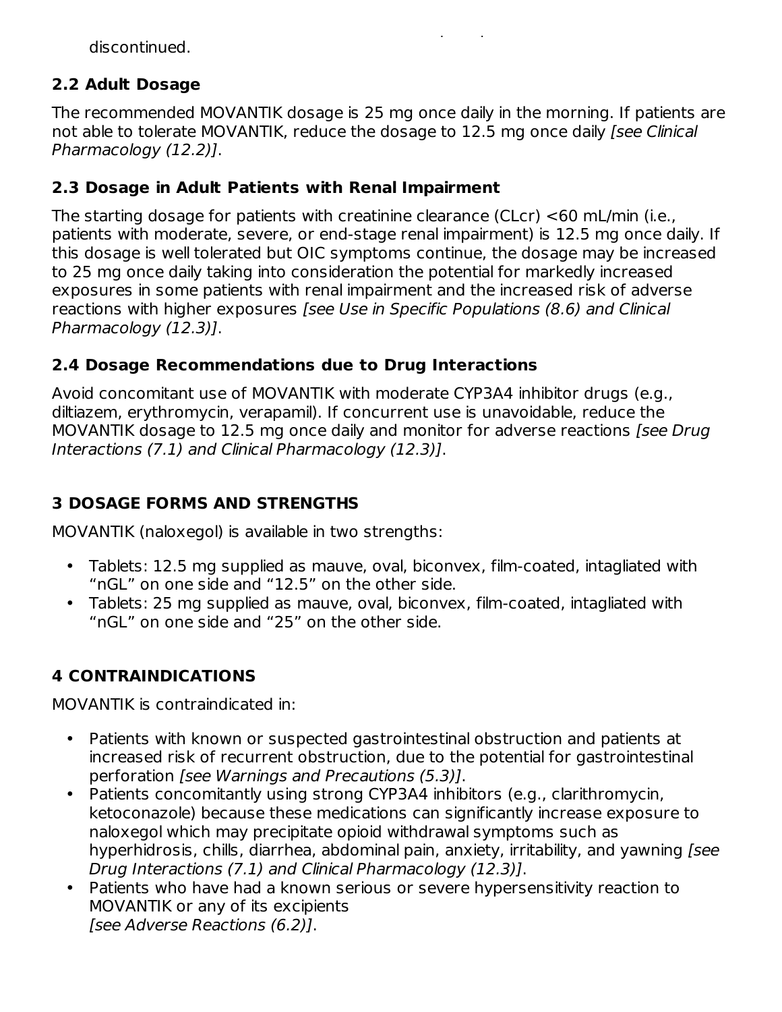Discontinue MOVANTIK if treatment with the opioid pain medication is also discontinued.

### **2.2 Adult Dosage**

The recommended MOVANTIK dosage is 25 mg once daily in the morning. If patients are not able to tolerate MOVANTIK, reduce the dosage to 12.5 mg once daily [see Clinical Pharmacology (12.2)].

### **2.3 Dosage in Adult Patients with Renal Impairment**

The starting dosage for patients with creatinine clearance (CLcr) <60 mL/min (i.e., patients with moderate, severe, or end-stage renal impairment) is 12.5 mg once daily. If this dosage is well tolerated but OIC symptoms continue, the dosage may be increased to 25 mg once daily taking into consideration the potential for markedly increased exposures in some patients with renal impairment and the increased risk of adverse reactions with higher exposures [see Use in Specific Populations (8.6) and Clinical Pharmacology (12.3)].

### **2.4 Dosage Recommendations due to Drug Interactions**

Avoid concomitant use of MOVANTIK with moderate CYP3A4 inhibitor drugs (e.g., diltiazem, erythromycin, verapamil). If concurrent use is unavoidable, reduce the MOVANTIK dosage to 12.5 mg once daily and monitor for adverse reactions [see Drug] Interactions (7.1) and Clinical Pharmacology (12.3)].

## **3 DOSAGE FORMS AND STRENGTHS**

MOVANTIK (naloxegol) is available in two strengths:

- Tablets: 12.5 mg supplied as mauve, oval, biconvex, film-coated, intagliated with "nGL" on one side and "12.5" on the other side.
- Tablets: 25 mg supplied as mauve, oval, biconvex, film-coated, intagliated with "nGL" on one side and "25" on the other side.

## **4 CONTRAINDICATIONS**

MOVANTIK is contraindicated in:

- Patients with known or suspected gastrointestinal obstruction and patients at increased risk of recurrent obstruction, due to the potential for gastrointestinal perforation [see Warnings and Precautions (5.3)].
- $\bullet$ Patients concomitantly using strong CYP3A4 inhibitors (e.g., clarithromycin, ketoconazole) because these medications can significantly increase exposure to naloxegol which may precipitate opioid withdrawal symptoms such as hyperhidrosis, chills, diarrhea, abdominal pain, anxiety, irritability, and yawning [see Drug Interactions (7.1) and Clinical Pharmacology (12.3)].
- Patients who have had a known serious or severe hypersensitivity reaction to MOVANTIK or any of its excipients [see Adverse Reactions (6.2)].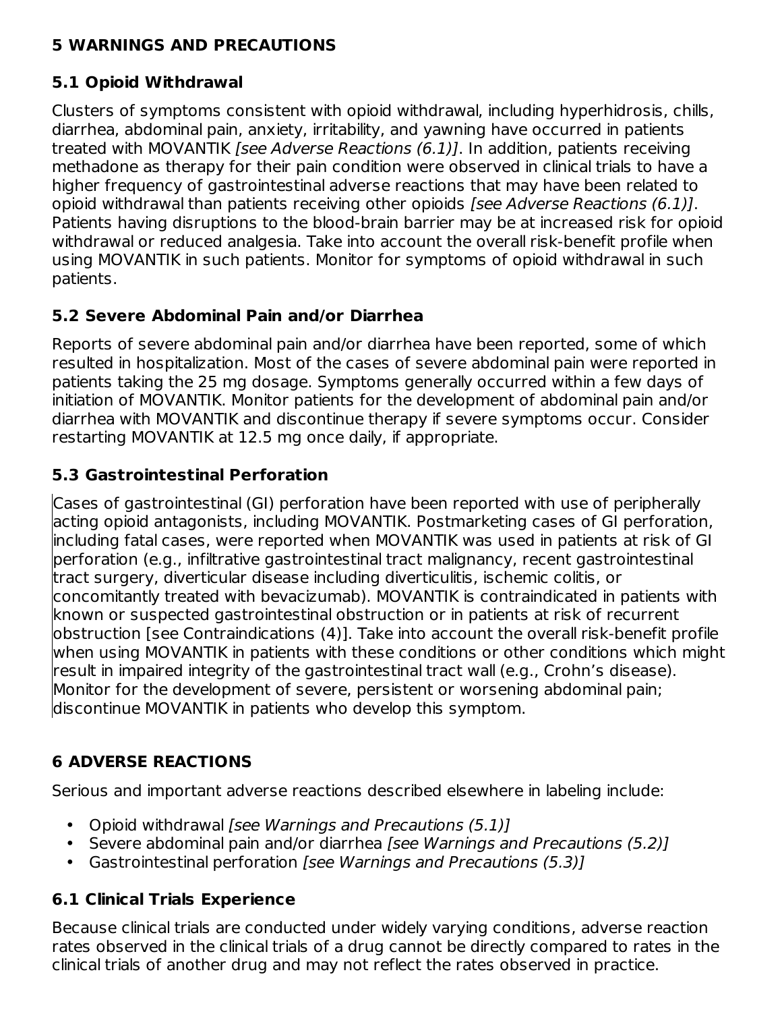### **5 WARNINGS AND PRECAUTIONS**

## **5.1 Opioid Withdrawal**

Clusters of symptoms consistent with opioid withdrawal, including hyperhidrosis, chills, diarrhea, abdominal pain, anxiety, irritability, and yawning have occurred in patients treated with MOVANTIK [see Adverse Reactions (6.1)]. In addition, patients receiving methadone as therapy for their pain condition were observed in clinical trials to have a higher frequency of gastrointestinal adverse reactions that may have been related to opioid withdrawal than patients receiving other opioids [see Adverse Reactions (6.1)]. Patients having disruptions to the blood-brain barrier may be at increased risk for opioid withdrawal or reduced analgesia. Take into account the overall risk-benefit profile when using MOVANTIK in such patients. Monitor for symptoms of opioid withdrawal in such patients.

### **5.2 Severe Abdominal Pain and/or Diarrhea**

Reports of severe abdominal pain and/or diarrhea have been reported, some of which resulted in hospitalization. Most of the cases of severe abdominal pain were reported in patients taking the 25 mg dosage. Symptoms generally occurred within a few days of initiation of MOVANTIK. Monitor patients for the development of abdominal pain and/or diarrhea with MOVANTIK and discontinue therapy if severe symptoms occur. Consider restarting MOVANTIK at 12.5 mg once daily, if appropriate.

### **5.3 Gastrointestinal Perforation**

Cases of gastrointestinal (GI) perforation have been reported with use of peripherally acting opioid antagonists, including MOVANTIK. Postmarketing cases of GI perforation, including fatal cases, were reported when MOVANTIK was used in patients at risk of GI perforation (e.g., infiltrative gastrointestinal tract malignancy, recent gastrointestinal tract surgery, diverticular disease including diverticulitis, ischemic colitis, or concomitantly treated with bevacizumab). MOVANTIK is contraindicated in patients with known or suspected gastrointestinal obstruction or in patients at risk of recurrent obstruction [see Contraindications (4)]. Take into account the overall risk-benefit profile when using MOVANTIK in patients with these conditions or other conditions which might result in impaired integrity of the gastrointestinal tract wall (e.g., Crohn's disease). Monitor for the development of severe, persistent or worsening abdominal pain; discontinue MOVANTIK in patients who develop this symptom.

## **6 ADVERSE REACTIONS**

Serious and important adverse reactions described elsewhere in labeling include:

- Opioid withdrawal [see Warnings and Precautions (5.1)]
- Severe abdominal pain and/or diarrhea [see Warnings and Precautions (5.2)]
- Gastrointestinal perforation [see Warnings and Precautions (5.3)]

## **6.1 Clinical Trials Experience**

Because clinical trials are conducted under widely varying conditions, adverse reaction rates observed in the clinical trials of a drug cannot be directly compared to rates in the clinical trials of another drug and may not reflect the rates observed in practice.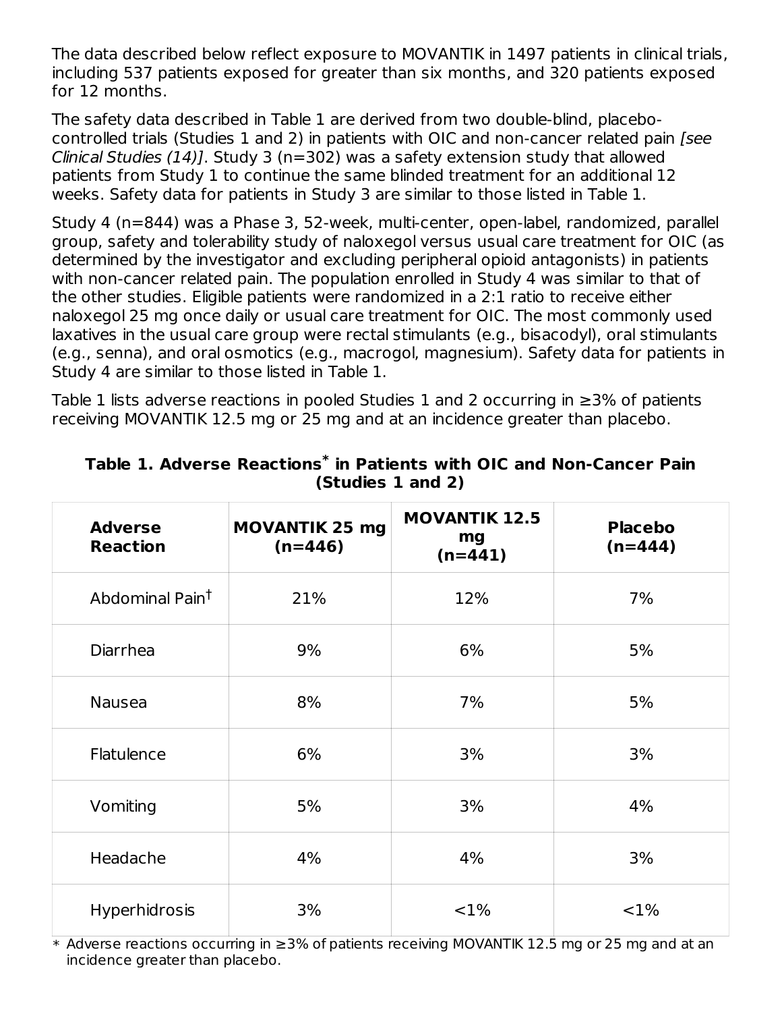The data described below reflect exposure to MOVANTIK in 1497 patients in clinical trials, including 537 patients exposed for greater than six months, and 320 patients exposed for 12 months.

The safety data described in Table 1 are derived from two double-blind, placebocontrolled trials (Studies 1 and 2) in patients with OIC and non-cancer related pain [see Clinical Studies (14)]. Study 3 (n=302) was a safety extension study that allowed patients from Study 1 to continue the same blinded treatment for an additional 12 weeks. Safety data for patients in Study 3 are similar to those listed in Table 1.

Study 4 (n=844) was a Phase 3, 52-week, multi-center, open-label, randomized, parallel group, safety and tolerability study of naloxegol versus usual care treatment for OIC (as determined by the investigator and excluding peripheral opioid antagonists) in patients with non-cancer related pain. The population enrolled in Study 4 was similar to that of the other studies. Eligible patients were randomized in a 2:1 ratio to receive either naloxegol 25 mg once daily or usual care treatment for OIC. The most commonly used laxatives in the usual care group were rectal stimulants (e.g., bisacodyl), oral stimulants (e.g., senna), and oral osmotics (e.g., macrogol, magnesium). Safety data for patients in Study 4 are similar to those listed in Table 1.

Table 1 lists adverse reactions in pooled Studies 1 and 2 occurring in  $\geq$ 3% of patients receiving MOVANTIK 12.5 mg or 25 mg and at an incidence greater than placebo.

| <b>Adverse</b><br><b>Reaction</b> | <b>MOVANTIK 25 mg</b><br>$(n=446)$ | <b>MOVANTIK 12.5</b><br>mg<br>$(n=441)$ | <b>Placebo</b><br>$(n=444)$ |
|-----------------------------------|------------------------------------|-----------------------------------------|-----------------------------|
| Abdominal Pain <sup>t</sup>       | 21%                                | 12%                                     | 7%                          |
| <b>Diarrhea</b>                   | 9%                                 | 6%                                      | 5%                          |
| <b>Nausea</b>                     | 8%                                 | 7%                                      | 5%                          |
| Flatulence                        | 6%                                 | 3%                                      | 3%                          |
| Vomiting                          | 5%                                 | 3%                                      | 4%                          |
| Headache                          | 4%                                 | 4%                                      | 3%                          |
| <b>Hyperhidrosis</b>              | 3%                                 | $< 1\%$                                 | <1%                         |

**Table 1. Adverse Reactions in Patients with OIC and Non-Cancer Pain \* (Studies 1 and 2)**

\* Adverse reactions occurring in ≥3% of patients receiving MOVANTIK 12.5 mg or 25 mg and at an incidence greater than placebo.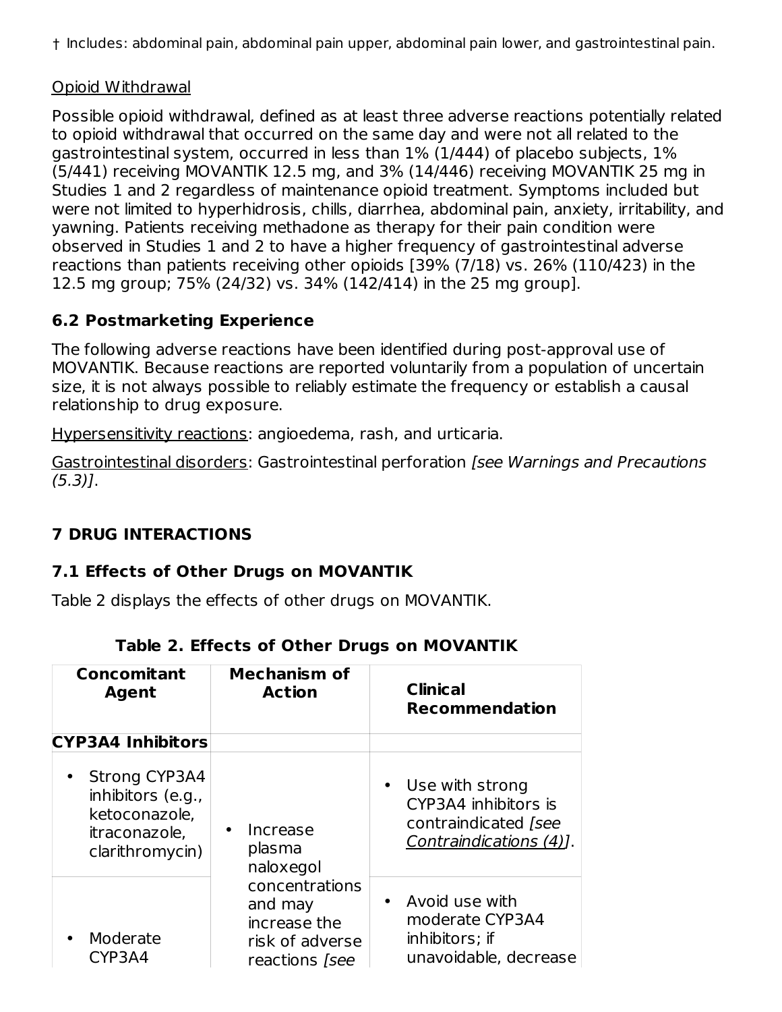† Includes: abdominal pain, abdominal pain upper, abdominal pain lower, and gastrointestinal pain.

#### Opioid Withdrawal

Possible opioid withdrawal, defined as at least three adverse reactions potentially related to opioid withdrawal that occurred on the same day and were not all related to the gastrointestinal system, occurred in less than 1% (1/444) of placebo subjects, 1% (5/441) receiving MOVANTIK 12.5 mg, and 3% (14/446) receiving MOVANTIK 25 mg in Studies 1 and 2 regardless of maintenance opioid treatment. Symptoms included but were not limited to hyperhidrosis, chills, diarrhea, abdominal pain, anxiety, irritability, and yawning. Patients receiving methadone as therapy for their pain condition were observed in Studies 1 and 2 to have a higher frequency of gastrointestinal adverse reactions than patients receiving other opioids [39% (7/18) vs. 26% (110/423) in the 12.5 mg group; 75% (24/32) vs. 34% (142/414) in the 25 mg group].

## **6.2 Postmarketing Experience**

The following adverse reactions have been identified during post-approval use of MOVANTIK. Because reactions are reported voluntarily from a population of uncertain size, it is not always possible to reliably estimate the frequency or establish a causal relationship to drug exposure.

Hypersensitivity reactions: angioedema, rash, and urticaria.

Gastrointestinal disorders: Gastrointestinal perforation [see Warnings and Precautions (5.3)].

## **7 DRUG INTERACTIONS**

### **7.1 Effects of Other Drugs on MOVANTIK**

Table 2 displays the effects of other drugs on MOVANTIK.

| <b>Concomitant</b><br><b>Agent</b>                                                        | <b>Mechanism of</b><br><b>Action</b>                                                  | <b>Clinical</b><br><b>Recommendation</b>                                                               |
|-------------------------------------------------------------------------------------------|---------------------------------------------------------------------------------------|--------------------------------------------------------------------------------------------------------|
| <b>CYP3A4 Inhibitors</b>                                                                  |                                                                                       |                                                                                                        |
| • Strong CYP3A4<br>inhibitors (e.g.,<br>ketoconazole,<br>itraconazole,<br>clarithromycin) | Increase<br>plasma<br>naloxegol                                                       | Use with strong<br>$\bullet$<br>CYP3A4 inhibitors is<br>contraindicated [see<br>Contraindications (4). |
| Moderate<br>CYP3A4                                                                        | concentrations<br>and may<br>increase the<br>risk of adverse<br>reactions <i>[see</i> | • Avoid use with<br>moderate CYP3A4<br>inhibitors; if<br>unavoidable, decrease                         |

## **Table 2. Effects of Other Drugs on MOVANTIK**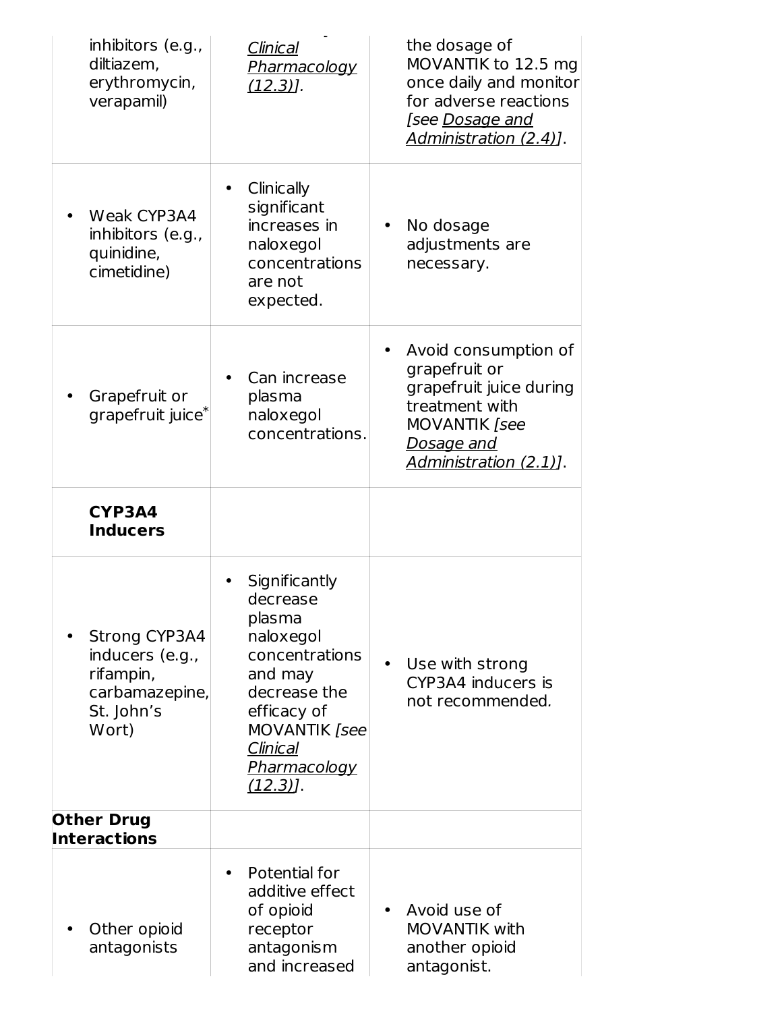| inhibitors (e.g.,<br>diltiazem,<br>erythromycin,<br>verapamil)                                | Clinical<br>Pharmacology<br>$(12.3)$ ].                                                                                                                                                | the dosage of<br>MOVANTIK to 12.5 mg<br>once daily and monitor<br>for adverse reactions<br>[see <u>Dosage and</u><br>Administration (2.4)].               |
|-----------------------------------------------------------------------------------------------|----------------------------------------------------------------------------------------------------------------------------------------------------------------------------------------|-----------------------------------------------------------------------------------------------------------------------------------------------------------|
| Weak CYP3A4<br>inhibitors (e.g.,<br>quinidine,<br>cimetidine)                                 | Clinically<br>significant<br>increases in<br>naloxegol<br>concentrations<br>are not<br>expected.                                                                                       | No dosage<br>adjustments are<br>necessary.                                                                                                                |
| Grapefruit or<br>grapefruit juice <sup>*</sup>                                                | Can increase<br>plasma<br>naloxegol<br>concentrations.                                                                                                                                 | Avoid consumption of<br>grapefruit or<br>grapefruit juice during<br>treatment with<br><b>MOVANTIK</b> [see<br><u>Dosage and</u><br>Administration (2.1)]. |
| CYP3A4<br><b>Inducers</b>                                                                     |                                                                                                                                                                                        |                                                                                                                                                           |
| <b>Strong CYP3A4</b><br>inducers (e.g.,<br>rifampin,<br>carbamazepine,<br>St. John's<br>Wort) | Significantly<br>decrease<br>plasma<br>naloxegol<br>concentrations<br>and may<br>decrease the<br>efficacy of<br><b>MOVANTIK</b> [see<br>Clinical<br><u>Pharmacology</u><br>$(12.3)$ ]. | Use with strong<br>$\bullet$<br>CYP3A4 inducers is<br>not recommended.                                                                                    |
| <b>Other Drug</b><br><b>Interactions</b>                                                      |                                                                                                                                                                                        |                                                                                                                                                           |
| Other opioid<br>antagonists                                                                   | Potential for<br>additive effect<br>of opioid<br>receptor<br>antagonism<br>and increased                                                                                               | Avoid use of<br>$\bullet$<br><b>MOVANTIK with</b><br>another opioid<br>antagonist.                                                                        |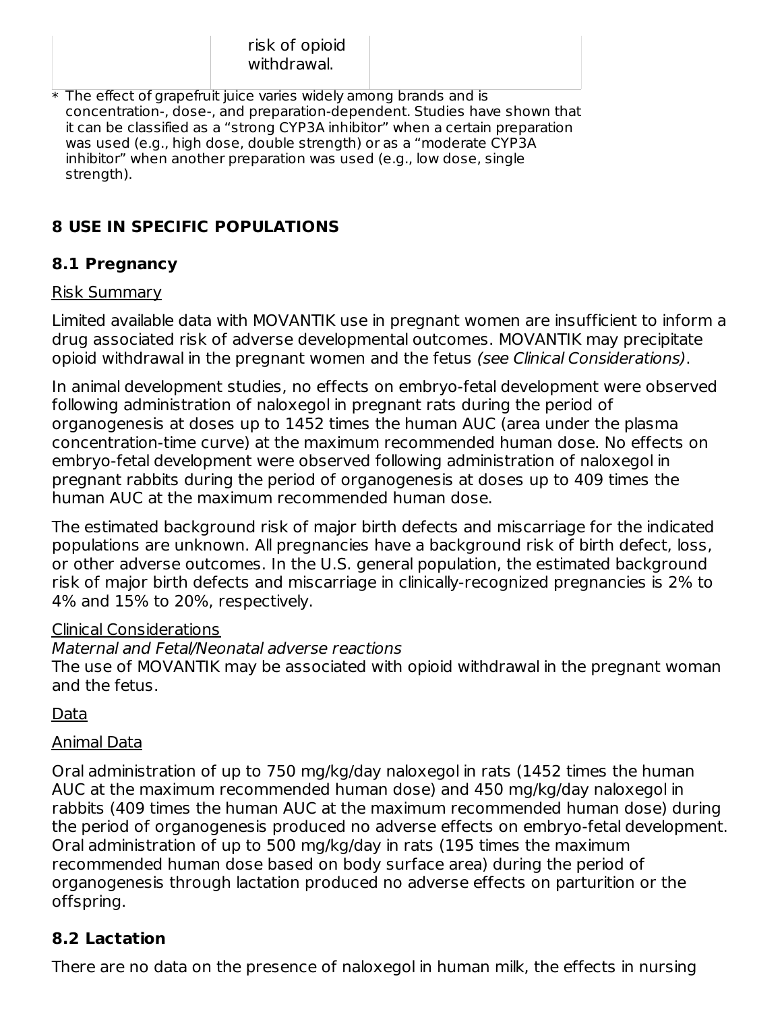| risk of opioid |  |
|----------------|--|
| withdrawal.    |  |

 $\ast$  The effect of grapefruit juice varies widely among brands and is concentration-, dose-, and preparation-dependent. Studies have shown that it can be classified as a "strong CYP3A inhibitor" when a certain preparation was used (e.g., high dose, double strength) or as a "moderate CYP3A inhibitor" when another preparation was used (e.g., low dose, single strength).

## **8 USE IN SPECIFIC POPULATIONS**

### **8.1 Pregnancy**

#### Risk Summary

Limited available data with MOVANTIK use in pregnant women are insufficient to inform a drug associated risk of adverse developmental outcomes. MOVANTIK may precipitate opioid withdrawal in the pregnant women and the fetus (see Clinical Considerations).

In animal development studies, no effects on embryo-fetal development were observed following administration of naloxegol in pregnant rats during the period of organogenesis at doses up to 1452 times the human AUC (area under the plasma concentration-time curve) at the maximum recommended human dose. No effects on embryo-fetal development were observed following administration of naloxegol in pregnant rabbits during the period of organogenesis at doses up to 409 times the human AUC at the maximum recommended human dose.

The estimated background risk of major birth defects and miscarriage for the indicated populations are unknown. All pregnancies have a background risk of birth defect, loss, or other adverse outcomes. In the U.S. general population, the estimated background risk of major birth defects and miscarriage in clinically-recognized pregnancies is 2% to 4% and 15% to 20%, respectively.

### Clinical Considerations

Maternal and Fetal/Neonatal adverse reactions The use of MOVANTIK may be associated with opioid withdrawal in the pregnant woman and the fetus.

Data

### Animal Data

Oral administration of up to 750 mg/kg/day naloxegol in rats (1452 times the human AUC at the maximum recommended human dose) and 450 mg/kg/day naloxegol in rabbits (409 times the human AUC at the maximum recommended human dose) during the period of organogenesis produced no adverse effects on embryo-fetal development. Oral administration of up to 500 mg/kg/day in rats (195 times the maximum recommended human dose based on body surface area) during the period of organogenesis through lactation produced no adverse effects on parturition or the offspring.

## **8.2 Lactation**

There are no data on the presence of naloxegol in human milk, the effects in nursing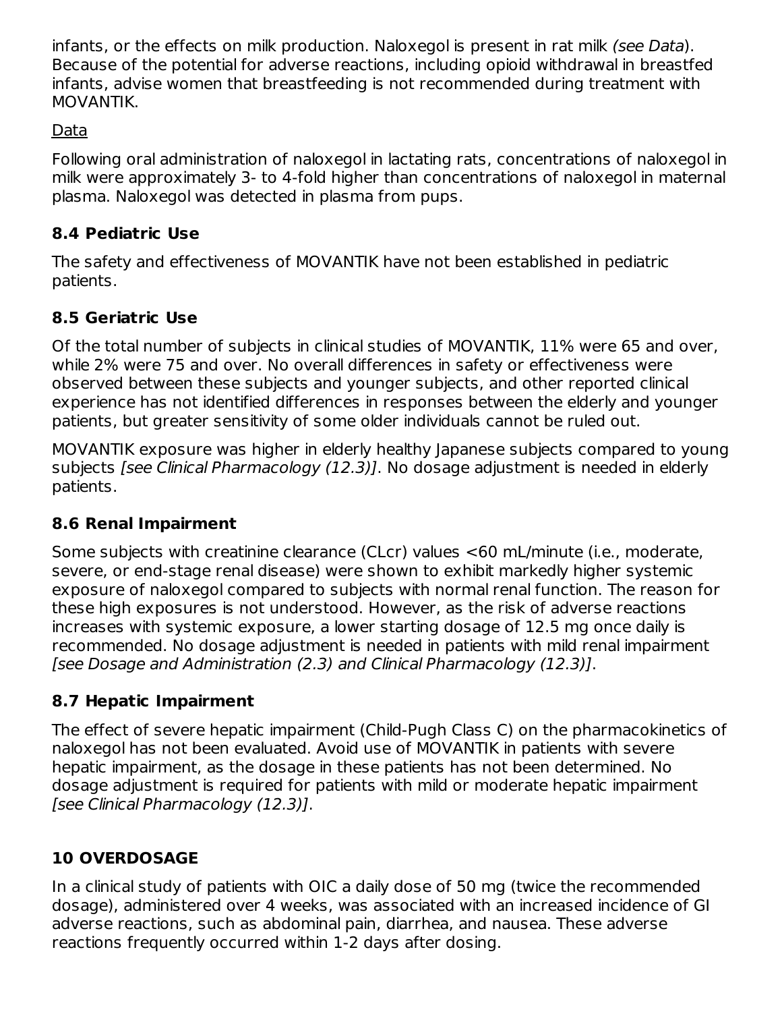infants, or the effects on milk production. Naloxegol is present in rat milk (see Data). Because of the potential for adverse reactions, including opioid withdrawal in breastfed infants, advise women that breastfeeding is not recommended during treatment with MOVANTIK.

### Data

Following oral administration of naloxegol in lactating rats, concentrations of naloxegol in milk were approximately 3- to 4-fold higher than concentrations of naloxegol in maternal plasma. Naloxegol was detected in plasma from pups.

### **8.4 Pediatric Use**

The safety and effectiveness of MOVANTIK have not been established in pediatric patients.

## **8.5 Geriatric Use**

Of the total number of subjects in clinical studies of MOVANTIK, 11% were 65 and over, while 2% were 75 and over. No overall differences in safety or effectiveness were observed between these subjects and younger subjects, and other reported clinical experience has not identified differences in responses between the elderly and younger patients, but greater sensitivity of some older individuals cannot be ruled out.

MOVANTIK exposure was higher in elderly healthy Japanese subjects compared to young subjects [see Clinical Pharmacology (12.3)]. No dosage adjustment is needed in elderly patients.

### **8.6 Renal Impairment**

Some subjects with creatinine clearance (CLcr) values <60 mL/minute (i.e., moderate, severe, or end-stage renal disease) were shown to exhibit markedly higher systemic exposure of naloxegol compared to subjects with normal renal function. The reason for these high exposures is not understood. However, as the risk of adverse reactions increases with systemic exposure, a lower starting dosage of 12.5 mg once daily is recommended. No dosage adjustment is needed in patients with mild renal impairment [see Dosage and Administration (2.3) and Clinical Pharmacology (12.3)].

## **8.7 Hepatic Impairment**

The effect of severe hepatic impairment (Child-Pugh Class C) on the pharmacokinetics of naloxegol has not been evaluated. Avoid use of MOVANTIK in patients with severe hepatic impairment, as the dosage in these patients has not been determined. No dosage adjustment is required for patients with mild or moderate hepatic impairment [see Clinical Pharmacology (12.3)].

## **10 OVERDOSAGE**

In a clinical study of patients with OIC a daily dose of 50 mg (twice the recommended dosage), administered over 4 weeks, was associated with an increased incidence of GI adverse reactions, such as abdominal pain, diarrhea, and nausea. These adverse reactions frequently occurred within 1-2 days after dosing.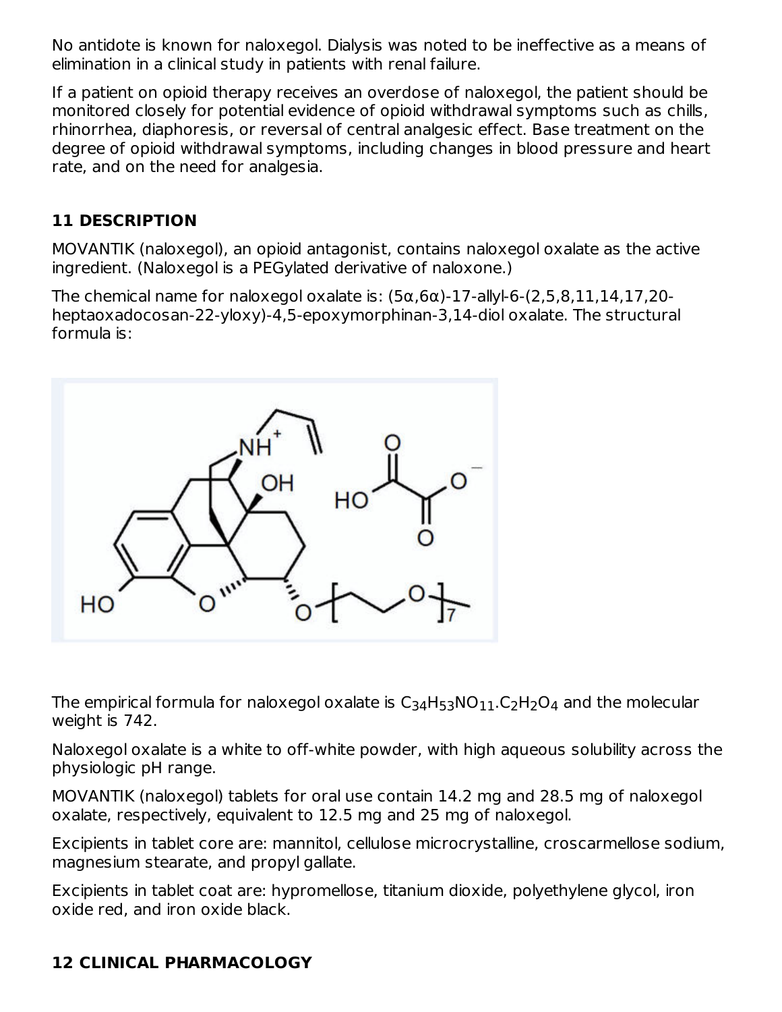No antidote is known for naloxegol. Dialysis was noted to be ineffective as a means of elimination in a clinical study in patients with renal failure.

If a patient on opioid therapy receives an overdose of naloxegol, the patient should be monitored closely for potential evidence of opioid withdrawal symptoms such as chills, rhinorrhea, diaphoresis, or reversal of central analgesic effect. Base treatment on the degree of opioid withdrawal symptoms, including changes in blood pressure and heart rate, and on the need for analgesia.

### **11 DESCRIPTION**

MOVANTIK (naloxegol), an opioid antagonist, contains naloxegol oxalate as the active ingredient. (Naloxegol is a PEGylated derivative of naloxone.)

The chemical name for naloxegol oxalate is: (5α,6α)-17-allyl-6-(2,5,8,11,14,17,20 heptaoxadocosan-22-yloxy)-4,5-epoxymorphinan-3,14-diol oxalate. The structural formula is:



The empirical formula for naloxegol oxalate is  $\mathsf{C}_{34}\mathsf{H}_{53}\mathsf{NO}_{11}$ . $\mathsf{C}_{2}\mathsf{H}_{2}\mathsf{O}_{4}$  and the molecular weight is 742.

Naloxegol oxalate is a white to off-white powder, with high aqueous solubility across the physiologic pH range.

MOVANTIK (naloxegol) tablets for oral use contain 14.2 mg and 28.5 mg of naloxegol oxalate, respectively, equivalent to 12.5 mg and 25 mg of naloxegol.

Excipients in tablet core are: mannitol, cellulose microcrystalline, croscarmellose sodium, magnesium stearate, and propyl gallate.

Excipients in tablet coat are: hypromellose, titanium dioxide, polyethylene glycol, iron oxide red, and iron oxide black.

## **12 CLINICAL PHARMACOLOGY**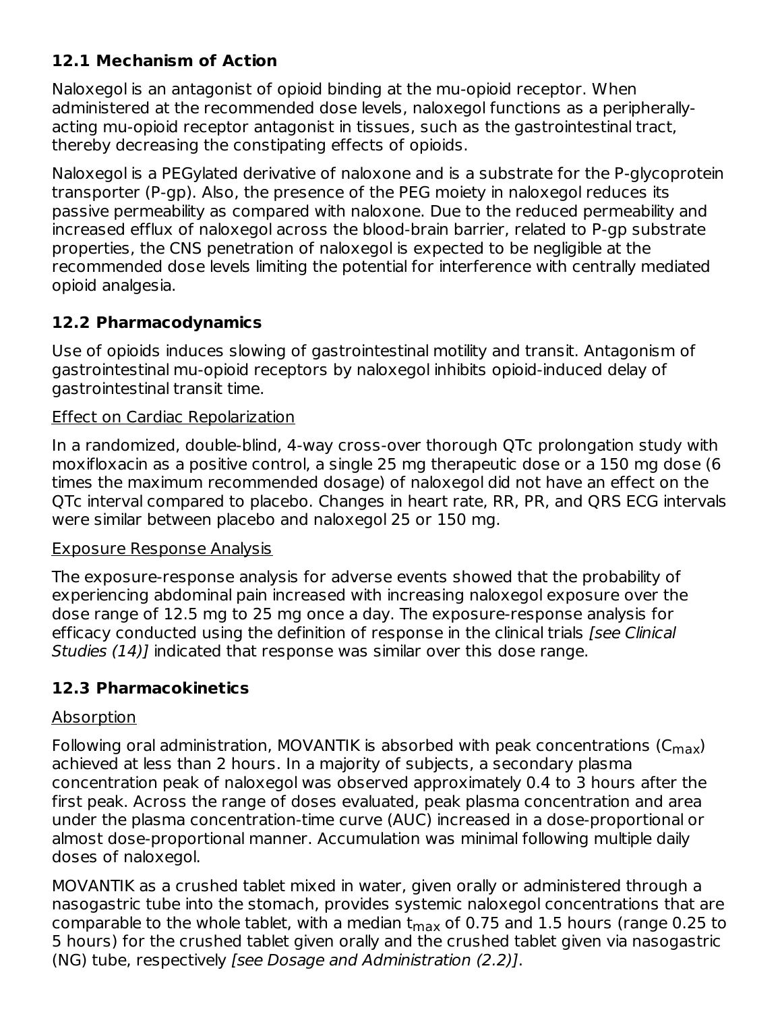## **12.1 Mechanism of Action**

Naloxegol is an antagonist of opioid binding at the mu-opioid receptor. When administered at the recommended dose levels, naloxegol functions as a peripherallyacting mu-opioid receptor antagonist in tissues, such as the gastrointestinal tract, thereby decreasing the constipating effects of opioids.

Naloxegol is a PEGylated derivative of naloxone and is a substrate for the P-glycoprotein transporter (P-gp). Also, the presence of the PEG moiety in naloxegol reduces its passive permeability as compared with naloxone. Due to the reduced permeability and increased efflux of naloxegol across the blood-brain barrier, related to P-gp substrate properties, the CNS penetration of naloxegol is expected to be negligible at the recommended dose levels limiting the potential for interference with centrally mediated opioid analgesia.

### **12.2 Pharmacodynamics**

Use of opioids induces slowing of gastrointestinal motility and transit. Antagonism of gastrointestinal mu-opioid receptors by naloxegol inhibits opioid-induced delay of gastrointestinal transit time.

#### Effect on Cardiac Repolarization

In a randomized, double-blind, 4-way cross-over thorough QTc prolongation study with moxifloxacin as a positive control, a single 25 mg therapeutic dose or a 150 mg dose (6 times the maximum recommended dosage) of naloxegol did not have an effect on the QTc interval compared to placebo. Changes in heart rate, RR, PR, and QRS ECG intervals were similar between placebo and naloxegol 25 or 150 mg.

#### Exposure Response Analysis

The exposure-response analysis for adverse events showed that the probability of experiencing abdominal pain increased with increasing naloxegol exposure over the dose range of 12.5 mg to 25 mg once a day. The exposure-response analysis for efficacy conducted using the definition of response in the clinical trials [see Clinical Studies (14)] indicated that response was similar over this dose range.

## **12.3 Pharmacokinetics**

### Absorption

Following oral administration, MOVANTIK is absorbed with peak concentrations ( $\mathsf{C}_{\mathsf{max}}$ ) achieved at less than 2 hours. In a majority of subjects, a secondary plasma concentration peak of naloxegol was observed approximately 0.4 to 3 hours after the first peak. Across the range of doses evaluated, peak plasma concentration and area under the plasma concentration-time curve (AUC) increased in a dose-proportional or almost dose-proportional manner. Accumulation was minimal following multiple daily doses of naloxegol.

MOVANTIK as a crushed tablet mixed in water, given orally or administered through a nasogastric tube into the stomach, provides systemic naloxegol concentrations that are comparable to the whole tablet, with a median  ${\sf t_{max}}$  of 0.75 and 1.5 hours (range 0.25 to 5 hours) for the crushed tablet given orally and the crushed tablet given via nasogastric (NG) tube, respectively [see Dosage and Administration (2.2)].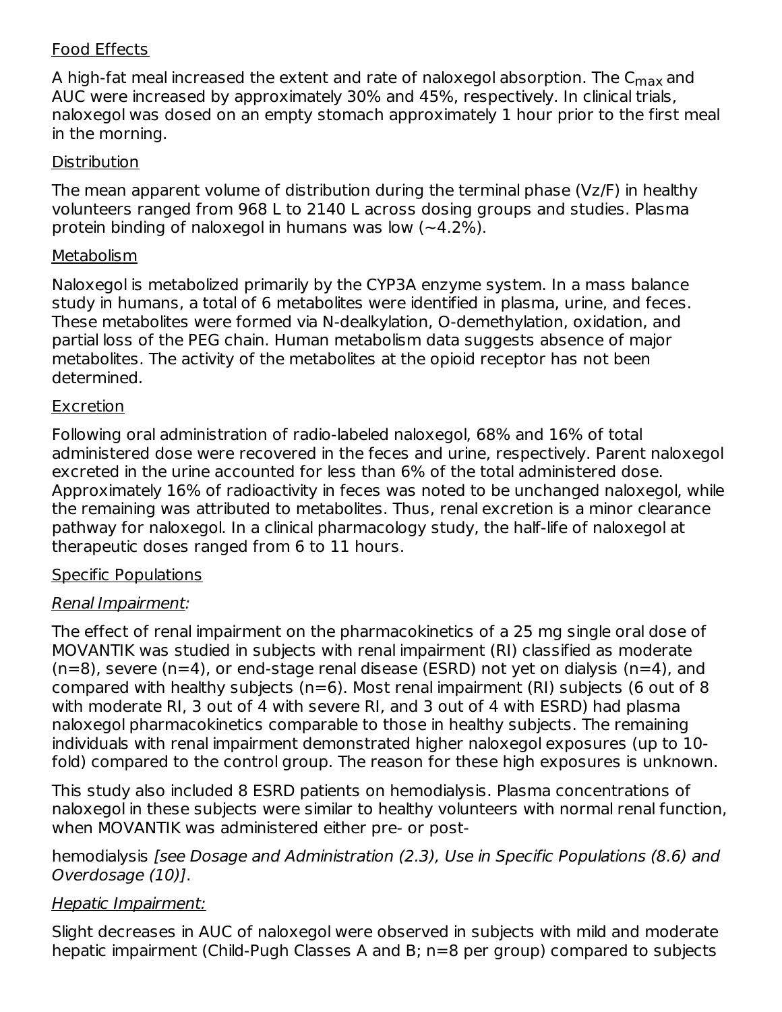#### Food Effects

A high-fat meal increased the extent and rate of naloxegol absorption. The C<sub>max</sub> and AUC were increased by approximately 30% and 45%, respectively. In clinical trials, naloxegol was dosed on an empty stomach approximately 1 hour prior to the first meal in the morning.

#### **Distribution**

The mean apparent volume of distribution during the terminal phase (Vz/F) in healthy volunteers ranged from 968 L to 2140 L across dosing groups and studies. Plasma protein binding of naloxegol in humans was low  $(-4.2\%)$ .

#### **Metabolism**

Naloxegol is metabolized primarily by the CYP3A enzyme system. In a mass balance study in humans, a total of 6 metabolites were identified in plasma, urine, and feces. These metabolites were formed via N-dealkylation, O-demethylation, oxidation, and partial loss of the PEG chain. Human metabolism data suggests absence of major metabolites. The activity of the metabolites at the opioid receptor has not been determined.

#### **Excretion**

Following oral administration of radio-labeled naloxegol, 68% and 16% of total administered dose were recovered in the feces and urine, respectively. Parent naloxegol excreted in the urine accounted for less than 6% of the total administered dose. Approximately 16% of radioactivity in feces was noted to be unchanged naloxegol, while the remaining was attributed to metabolites. Thus, renal excretion is a minor clearance pathway for naloxegol. In a clinical pharmacology study, the half-life of naloxegol at therapeutic doses ranged from 6 to 11 hours.

### Specific Populations

### Renal Impairment:

The effect of renal impairment on the pharmacokinetics of a 25 mg single oral dose of MOVANTIK was studied in subjects with renal impairment (RI) classified as moderate  $(n=8)$ , severe  $(n=4)$ , or end-stage renal disease (ESRD) not vet on dialysis  $(n=4)$ , and compared with healthy subjects ( $n=6$ ). Most renal impairment (RI) subjects (6 out of 8 with moderate RI, 3 out of 4 with severe RI, and 3 out of 4 with ESRD) had plasma naloxegol pharmacokinetics comparable to those in healthy subjects. The remaining individuals with renal impairment demonstrated higher naloxegol exposures (up to 10 fold) compared to the control group. The reason for these high exposures is unknown.

This study also included 8 ESRD patients on hemodialysis. Plasma concentrations of naloxegol in these subjects were similar to healthy volunteers with normal renal function, when MOVANTIK was administered either pre- or post-

hemodialysis [see Dosage and Administration (2.3), Use in Specific Populations (8.6) and Overdosage (10)].

### Hepatic Impairment:

Slight decreases in AUC of naloxegol were observed in subjects with mild and moderate hepatic impairment (Child-Pugh Classes A and B; n=8 per group) compared to subjects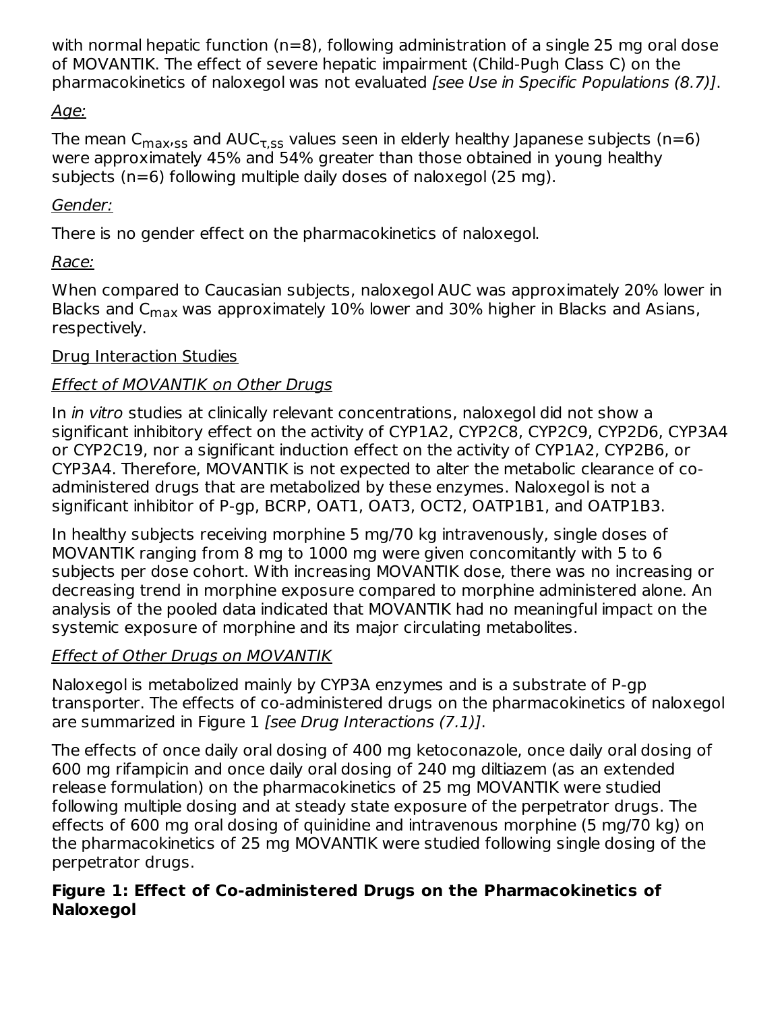with normal hepatic function (n=8), following administration of a single 25 mg oral dose of MOVANTIK. The effect of severe hepatic impairment (Child-Pugh Class C) on the pharmacokinetics of naloxegol was not evaluated [see Use in Specific Populations (8.7)].

### Age:

The mean C $_{\sf maxsss}$  and AUC $_{\sf \tau,ss}$  values seen in elderly healthy Japanese subjects (n=6) were approximately 45% and 54% greater than those obtained in young healthy subjects (n=6) following multiple daily doses of naloxegol (25 mg).

### Gender:

There is no gender effect on the pharmacokinetics of naloxegol.

## Race:

When compared to Caucasian subjects, naloxegol AUC was approximately 20% lower in Blacks and C<sub>max</sub> was approximately 10% lower and 30% higher in Blacks and Asians, respectively.

### Drug Interaction Studies

## Effect of MOVANTIK on Other Drugs

In in vitro studies at clinically relevant concentrations, naloxegol did not show a significant inhibitory effect on the activity of CYP1A2, CYP2C8, CYP2C9, CYP2D6, CYP3A4 or CYP2C19, nor a significant induction effect on the activity of CYP1A2, CYP2B6, or CYP3A4. Therefore, MOVANTIK is not expected to alter the metabolic clearance of coadministered drugs that are metabolized by these enzymes. Naloxegol is not a significant inhibitor of P-gp, BCRP, OAT1, OAT3, OCT2, OATP1B1, and OATP1B3.

In healthy subjects receiving morphine 5 mg/70 kg intravenously, single doses of MOVANTIK ranging from 8 mg to 1000 mg were given concomitantly with 5 to 6 subjects per dose cohort. With increasing MOVANTIK dose, there was no increasing or decreasing trend in morphine exposure compared to morphine administered alone. An analysis of the pooled data indicated that MOVANTIK had no meaningful impact on the systemic exposure of morphine and its major circulating metabolites.

## Effect of Other Drugs on MOVANTIK

Naloxegol is metabolized mainly by CYP3A enzymes and is a substrate of P-gp transporter. The effects of co-administered drugs on the pharmacokinetics of naloxegol are summarized in Figure 1 [see Drug Interactions (7.1)].

The effects of once daily oral dosing of 400 mg ketoconazole, once daily oral dosing of 600 mg rifampicin and once daily oral dosing of 240 mg diltiazem (as an extended release formulation) on the pharmacokinetics of 25 mg MOVANTIK were studied following multiple dosing and at steady state exposure of the perpetrator drugs. The effects of 600 mg oral dosing of quinidine and intravenous morphine (5 mg/70 kg) on the pharmacokinetics of 25 mg MOVANTIK were studied following single dosing of the perpetrator drugs.

### **Figure 1: Effect of Co-administered Drugs on the Pharmacokinetics of Naloxegol**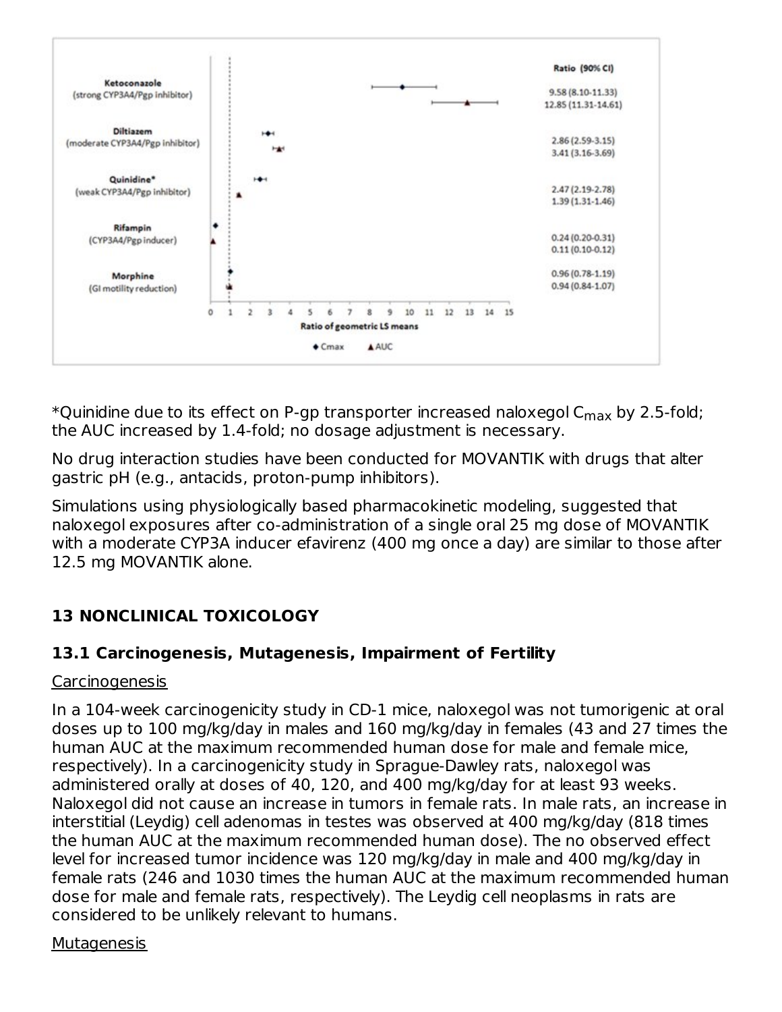

\*Quinidine due to its effect on P-gp transporter increased naloxegol C $_{\sf max}$  by 2.5-fold; the AUC increased by 1.4-fold; no dosage adjustment is necessary.

No drug interaction studies have been conducted for MOVANTIK with drugs that alter gastric pH (e.g., antacids, proton-pump inhibitors).

Simulations using physiologically based pharmacokinetic modeling, suggested that naloxegol exposures after co-administration of a single oral 25 mg dose of MOVANTIK with a moderate CYP3A inducer efavirenz (400 mg once a day) are similar to those after 12.5 mg MOVANTIK alone.

## **13 NONCLINICAL TOXICOLOGY**

## **13.1 Carcinogenesis, Mutagenesis, Impairment of Fertility**

### **Carcinogenesis**

In a 104-week carcinogenicity study in CD-1 mice, naloxegol was not tumorigenic at oral doses up to 100 mg/kg/day in males and 160 mg/kg/day in females (43 and 27 times the human AUC at the maximum recommended human dose for male and female mice, respectively). In a carcinogenicity study in Sprague-Dawley rats, naloxegol was administered orally at doses of 40, 120, and 400 mg/kg/day for at least 93 weeks. Naloxegol did not cause an increase in tumors in female rats. In male rats, an increase in interstitial (Leydig) cell adenomas in testes was observed at 400 mg/kg/day (818 times the human AUC at the maximum recommended human dose). The no observed effect level for increased tumor incidence was 120 mg/kg/day in male and 400 mg/kg/day in female rats (246 and 1030 times the human AUC at the maximum recommended human dose for male and female rats, respectively). The Leydig cell neoplasms in rats are considered to be unlikely relevant to humans.

### **Mutagenesis**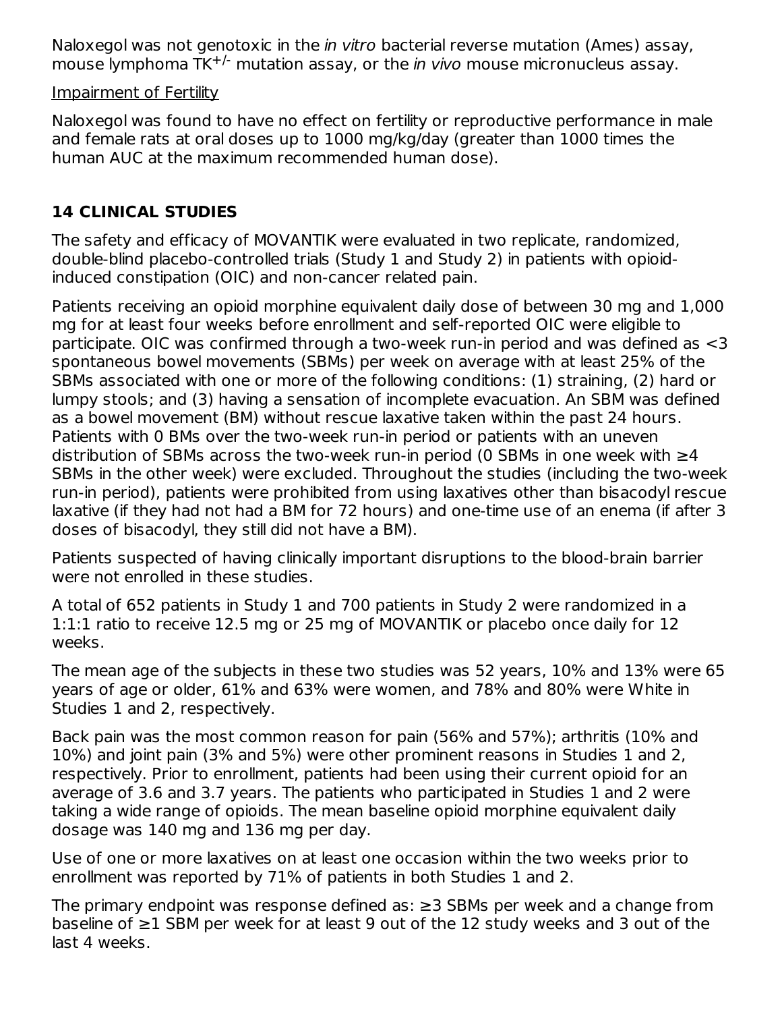Naloxegol was not genotoxic in the in vitro bacterial reverse mutation (Ames) assay, mouse lymphoma TK<sup>+/-</sup> mutation assay, or the *in vivo* mouse micronucleus assay.

#### Impairment of Fertility

Naloxegol was found to have no effect on fertility or reproductive performance in male and female rats at oral doses up to 1000 mg/kg/day (greater than 1000 times the human AUC at the maximum recommended human dose).

## **14 CLINICAL STUDIES**

The safety and efficacy of MOVANTIK were evaluated in two replicate, randomized, double-blind placebo-controlled trials (Study 1 and Study 2) in patients with opioidinduced constipation (OIC) and non-cancer related pain.

Patients receiving an opioid morphine equivalent daily dose of between 30 mg and 1,000 mg for at least four weeks before enrollment and self-reported OIC were eligible to participate. OIC was confirmed through a two-week run-in period and was defined as <3 spontaneous bowel movements (SBMs) per week on average with at least 25% of the SBMs associated with one or more of the following conditions: (1) straining, (2) hard or lumpy stools; and (3) having a sensation of incomplete evacuation. An SBM was defined as a bowel movement (BM) without rescue laxative taken within the past 24 hours. Patients with 0 BMs over the two-week run-in period or patients with an uneven distribution of SBMs across the two-week run-in period (0 SBMs in one week with  $\geq 4$ SBMs in the other week) were excluded. Throughout the studies (including the two-week run-in period), patients were prohibited from using laxatives other than bisacodyl rescue laxative (if they had not had a BM for 72 hours) and one-time use of an enema (if after 3 doses of bisacodyl, they still did not have a BM).

Patients suspected of having clinically important disruptions to the blood-brain barrier were not enrolled in these studies.

A total of 652 patients in Study 1 and 700 patients in Study 2 were randomized in a 1:1:1 ratio to receive 12.5 mg or 25 mg of MOVANTIK or placebo once daily for 12 weeks.

The mean age of the subjects in these two studies was 52 years, 10% and 13% were 65 years of age or older, 61% and 63% were women, and 78% and 80% were White in Studies 1 and 2, respectively.

Back pain was the most common reason for pain (56% and 57%); arthritis (10% and 10%) and joint pain (3% and 5%) were other prominent reasons in Studies 1 and 2, respectively. Prior to enrollment, patients had been using their current opioid for an average of 3.6 and 3.7 years. The patients who participated in Studies 1 and 2 were taking a wide range of opioids. The mean baseline opioid morphine equivalent daily dosage was 140 mg and 136 mg per day.

Use of one or more laxatives on at least one occasion within the two weeks prior to enrollment was reported by 71% of patients in both Studies 1 and 2.

The primary endpoint was response defined as: ≥3 SBMs per week and a change from baseline of ≥1 SBM per week for at least 9 out of the 12 study weeks and 3 out of the last 4 weeks.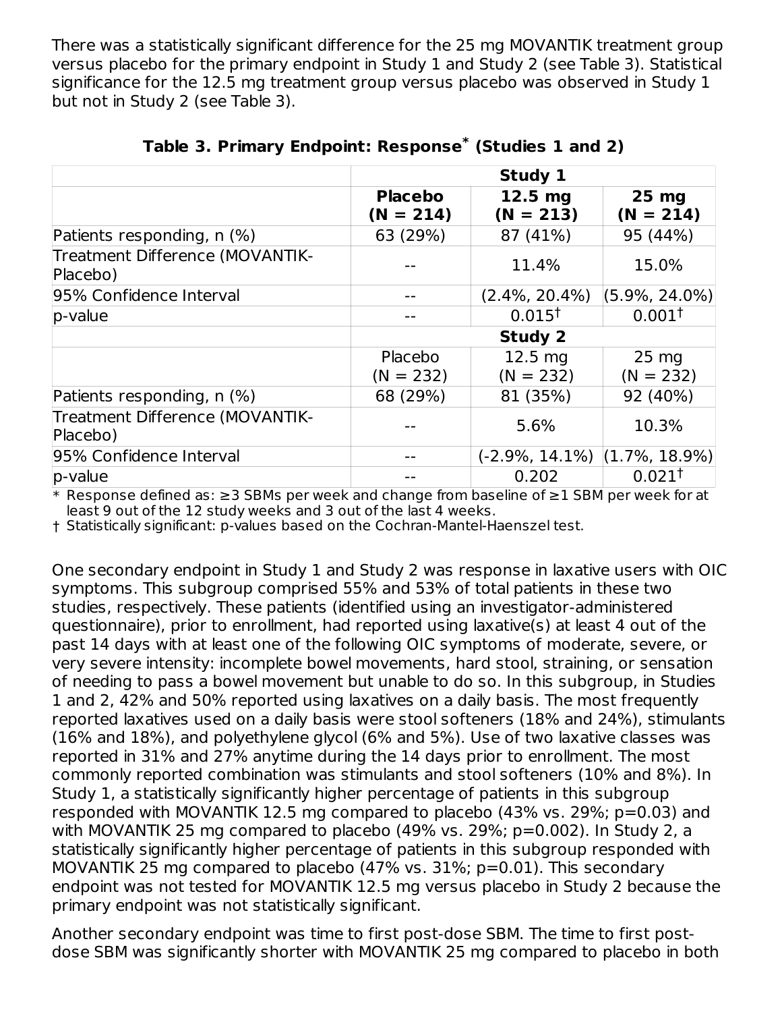There was a statistically significant difference for the 25 mg MOVANTIK treatment group versus placebo for the primary endpoint in Study 1 and Study 2 (see Table 3). Statistical significance for the 12.5 mg treatment group versus placebo was observed in Study 1 but not in Study 2 (see Table 3).

|                                             |                               | Study 1                          |                                |
|---------------------------------------------|-------------------------------|----------------------------------|--------------------------------|
|                                             | <b>Placebo</b><br>$(N = 214)$ | $12.5$ mg<br>$(N = 213)$         | 25 mg<br>$(N = 214)$           |
| Patients responding, n (%)                  | 63 (29%)                      | 87 (41%)                         | 95 (44%)                       |
| Treatment Difference (MOVANTIK-<br>Placebo) |                               | 11.4%                            | 15.0%                          |
| 95% Confidence Interval                     | --                            | $(2.4\%, 20.4\%)$                | $(5.9\%, 24.0\%)$              |
| $p$ -value                                  |                               | $0.015^{\dagger}$                | $0.001^{\dagger}$              |
|                                             |                               | <b>Study 2</b>                   |                                |
|                                             | Placebo<br>$(N = 232)$        | $12.5 \text{ mg}$<br>$(N = 232)$ | $25 \text{ mg}$<br>$(N = 232)$ |
| Patients responding, n (%)                  | 68 (29%)                      | 81 (35%)                         | 92 (40%)                       |
| Treatment Difference (MOVANTIK-<br>Placebo) |                               | 5.6%                             | 10.3%                          |
| 95% Confidence Interval                     | --                            | $(-2.9\%, 14.1\%)$               | $(1.7\%, 18.9\%)$              |
| p-value                                     |                               | 0.202                            | $0.021^{\dagger}$              |

|  | Table 3. Primary Endpoint: Response* (Studies 1 and 2) |  |  |  |  |
|--|--------------------------------------------------------|--|--|--|--|
|--|--------------------------------------------------------|--|--|--|--|

\* Response defined as: ≥3 SBMs per week and change from baseline of ≥1 SBM per week for at least 9 out of the 12 study weeks and 3 out of the last 4 weeks.

† Statistically significant: p-values based on the Cochran-Mantel-Haenszel test.

One secondary endpoint in Study 1 and Study 2 was response in laxative users with OIC symptoms. This subgroup comprised 55% and 53% of total patients in these two studies, respectively. These patients (identified using an investigator-administered questionnaire), prior to enrollment, had reported using laxative(s) at least 4 out of the past 14 days with at least one of the following OIC symptoms of moderate, severe, or very severe intensity: incomplete bowel movements, hard stool, straining, or sensation of needing to pass a bowel movement but unable to do so. In this subgroup, in Studies 1 and 2, 42% and 50% reported using laxatives on a daily basis. The most frequently reported laxatives used on a daily basis were stool softeners (18% and 24%), stimulants (16% and 18%), and polyethylene glycol (6% and 5%). Use of two laxative classes was reported in 31% and 27% anytime during the 14 days prior to enrollment. The most commonly reported combination was stimulants and stool softeners (10% and 8%). In Study 1, a statistically significantly higher percentage of patients in this subgroup responded with MOVANTIK 12.5 mg compared to placebo (43% vs. 29%; p=0.03) and with MOVANTIK 25 mg compared to placebo (49% vs. 29%; p=0.002). In Study 2, a statistically significantly higher percentage of patients in this subgroup responded with MOVANTIK 25 mg compared to placebo (47% vs. 31%; p=0.01). This secondary endpoint was not tested for MOVANTIK 12.5 mg versus placebo in Study 2 because the primary endpoint was not statistically significant.

Another secondary endpoint was time to first post-dose SBM. The time to first postdose SBM was significantly shorter with MOVANTIK 25 mg compared to placebo in both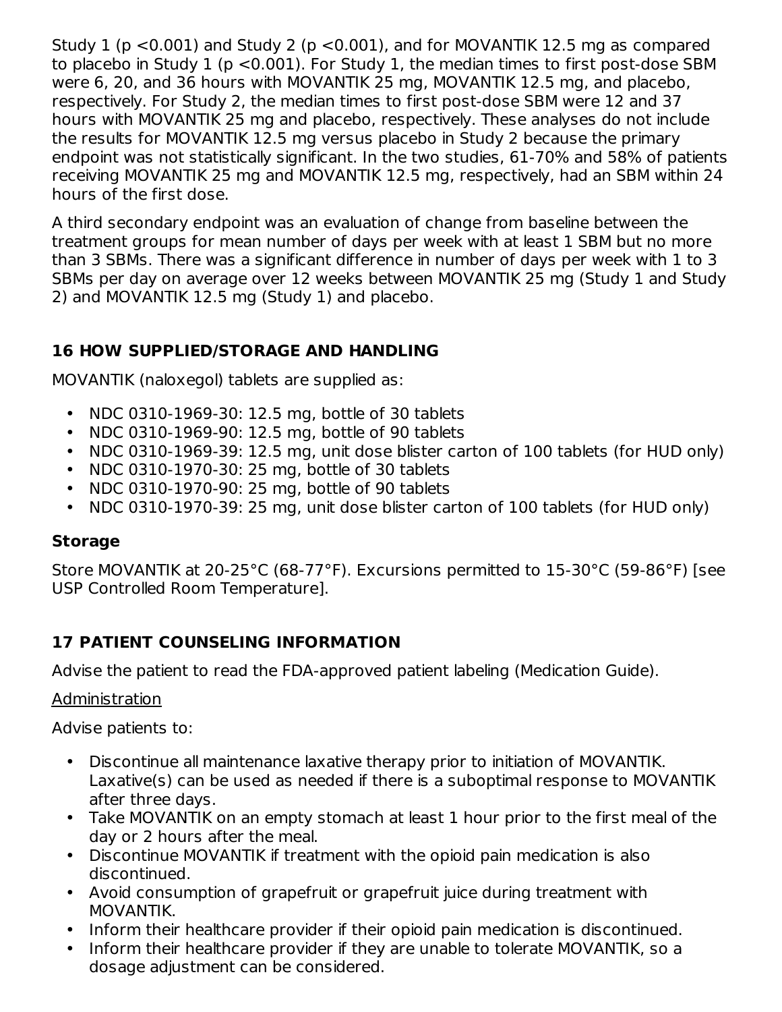Study 1 (p  $\leq$ 0.001) and Study 2 (p  $\leq$ 0.001), and for MOVANTIK 12.5 mg as compared to placebo in Study 1 (p <0.001). For Study 1, the median times to first post-dose SBM were 6, 20, and 36 hours with MOVANTIK 25 mg, MOVANTIK 12.5 mg, and placebo, respectively. For Study 2, the median times to first post-dose SBM were 12 and 37 hours with MOVANTIK 25 mg and placebo, respectively. These analyses do not include the results for MOVANTIK 12.5 mg versus placebo in Study 2 because the primary endpoint was not statistically significant. In the two studies, 61-70% and 58% of patients receiving MOVANTIK 25 mg and MOVANTIK 12.5 mg, respectively, had an SBM within 24 hours of the first dose.

A third secondary endpoint was an evaluation of change from baseline between the treatment groups for mean number of days per week with at least 1 SBM but no more than 3 SBMs. There was a significant difference in number of days per week with 1 to 3 SBMs per day on average over 12 weeks between MOVANTIK 25 mg (Study 1 and Study 2) and MOVANTIK 12.5 mg (Study 1) and placebo.

### **16 HOW SUPPLIED/STORAGE AND HANDLING**

MOVANTIK (naloxegol) tablets are supplied as:

- $\bullet$ NDC 0310-1969-30: 12.5 mg, bottle of 30 tablets
- NDC 0310-1969-90: 12.5 mg, bottle of 90 tablets
- NDC 0310-1969-39: 12.5 mg, unit dose blister carton of 100 tablets (for HUD only)
- NDC 0310-1970-30: 25 mg, bottle of 30 tablets
- NDC 0310-1970-90: 25 mg, bottle of 90 tablets
- NDC 0310-1970-39: 25 mg, unit dose blister carton of 100 tablets (for HUD only)

#### **Storage**

Store MOVANTIK at 20-25°C (68-77°F). Excursions permitted to 15-30°C (59-86°F) [see USP Controlled Room Temperature].

### **17 PATIENT COUNSELING INFORMATION**

Advise the patient to read the FDA-approved patient labeling (Medication Guide).

#### Administration

Advise patients to:

- Discontinue all maintenance laxative therapy prior to initiation of MOVANTIK. Laxative(s) can be used as needed if there is a suboptimal response to MOVANTIK after three days.
- Take MOVANTIK on an empty stomach at least 1 hour prior to the first meal of the day or 2 hours after the meal.
- Discontinue MOVANTIK if treatment with the opioid pain medication is also discontinued.
- Avoid consumption of grapefruit or grapefruit juice during treatment with MOVANTIK.
- Inform their healthcare provider if their opioid pain medication is discontinued.
- Inform their healthcare provider if they are unable to tolerate MOVANTIK, so a dosage adjustment can be considered.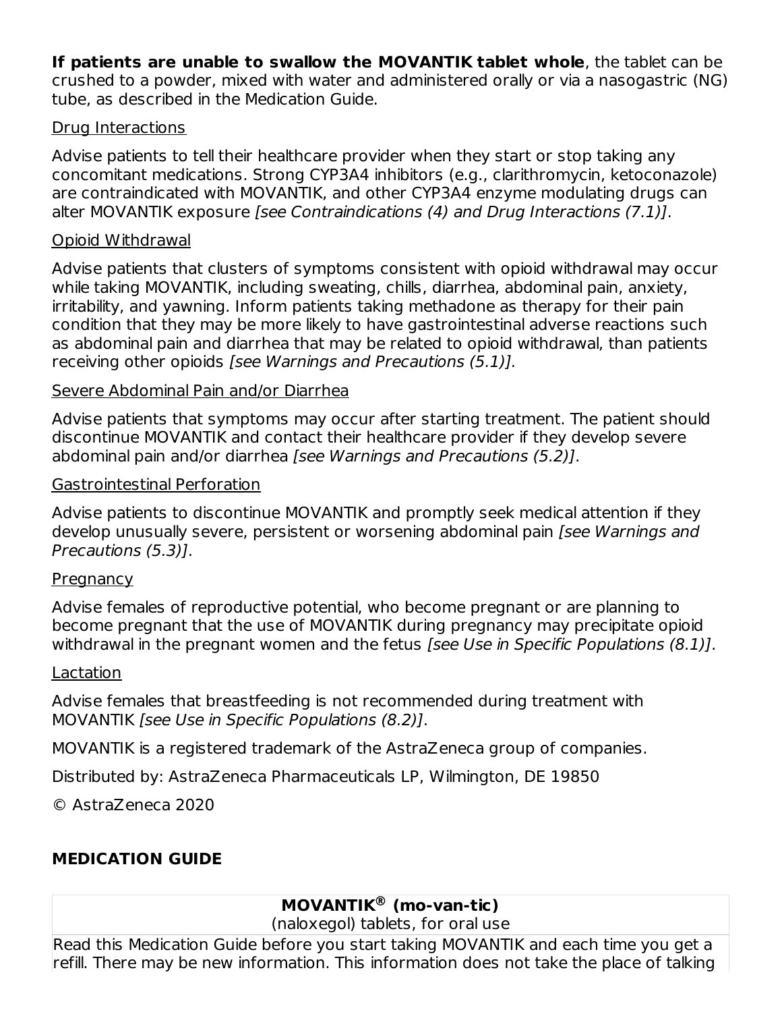**If patients are unable to swallow the MOVANTIK tablet whole**, the tablet can be crushed to a powder, mixed with water and administered orally or via a nasogastric (NG) tube, as described in the Medication Guide.

#### Drug Interactions

Advise patients to tell their healthcare provider when they start or stop taking any concomitant medications. Strong CYP3A4 inhibitors (e.g., clarithromycin, ketoconazole) are contraindicated with MOVANTIK, and other CYP3A4 enzyme modulating drugs can alter MOVANTIK exposure [see Contraindications (4) and Drug Interactions (7.1)].

#### Opioid Withdrawal

Advise patients that clusters of symptoms consistent with opioid withdrawal may occur while taking MOVANTIK, including sweating, chills, diarrhea, abdominal pain, anxiety, irritability, and yawning. Inform patients taking methadone as therapy for their pain condition that they may be more likely to have gastrointestinal adverse reactions such as abdominal pain and diarrhea that may be related to opioid withdrawal, than patients receiving other opioids [see Warnings and Precautions (5.1)].

#### Severe Abdominal Pain and/or Diarrhea

Advise patients that symptoms may occur after starting treatment. The patient should discontinue MOVANTIK and contact their healthcare provider if they develop severe abdominal pain and/or diarrhea [see Warnings and Precautions (5.2)].

#### Gastrointestinal Perforation

Advise patients to discontinue MOVANTIK and promptly seek medical attention if they develop unusually severe, persistent or worsening abdominal pain [see Warnings and Precautions (5.3)].

### **Pregnancy**

Advise females of reproductive potential, who become pregnant or are planning to become pregnant that the use of MOVANTIK during pregnancy may precipitate opioid withdrawal in the pregnant women and the fetus *[see Use in Specific Populations (8.1)]*.

#### Lactation

Advise females that breastfeeding is not recommended during treatment with MOVANTIK [see Use in Specific Populations (8.2)].

MOVANTIK is a registered trademark of the AstraZeneca group of companies.

Distributed by: AstraZeneca Pharmaceuticals LP, Wilmington, DE 19850

© AstraZeneca 2020

## **MEDICATION GUIDE**

## **MOVANTIK (mo-van-tic) ®**

(naloxegol) tablets, for oral use

Read this Medication Guide before you start taking MOVANTIK and each time you get a refill. There may be new information. This information does not take the place of talking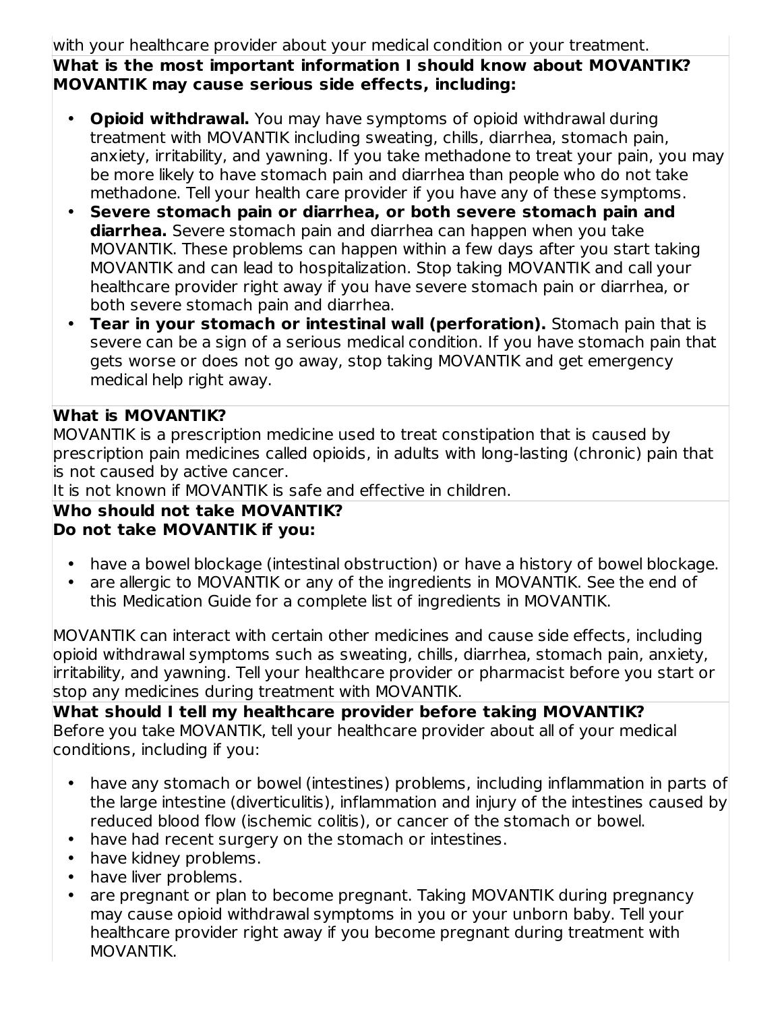#### with your healthcare provider about your medical condition or your treatment. **What is the most important information I should know about MOVANTIK? MOVANTIK may cause serious side effects, including:**

- **Opioid withdrawal.** You may have symptoms of opioid withdrawal during treatment with MOVANTIK including sweating, chills, diarrhea, stomach pain, anxiety, irritability, and yawning. If you take methadone to treat your pain, you may be more likely to have stomach pain and diarrhea than people who do not take methadone. Tell your health care provider if you have any of these symptoms.
- **Severe stomach pain or diarrhea, or both severe stomach pain and diarrhea.** Severe stomach pain and diarrhea can happen when you take MOVANTIK. These problems can happen within a few days after you start taking MOVANTIK and can lead to hospitalization. Stop taking MOVANTIK and call your healthcare provider right away if you have severe stomach pain or diarrhea, or both severe stomach pain and diarrhea.
- **Tear in your stomach or intestinal wall (perforation).** Stomach pain that is severe can be a sign of a serious medical condition. If you have stomach pain that gets worse or does not go away, stop taking MOVANTIK and get emergency medical help right away.

### **What is MOVANTIK?**

MOVANTIK is a prescription medicine used to treat constipation that is caused by prescription pain medicines called opioids, in adults with long-lasting (chronic) pain that is not caused by active cancer.

It is not known if MOVANTIK is safe and effective in children.

### **Who should not take MOVANTIK? Do not take MOVANTIK if you:**

- have a bowel blockage (intestinal obstruction) or have a history of bowel blockage.
- are allergic to MOVANTIK or any of the ingredients in MOVANTIK. See the end of this Medication Guide for a complete list of ingredients in MOVANTIK.

MOVANTIK can interact with certain other medicines and cause side effects, including opioid withdrawal symptoms such as sweating, chills, diarrhea, stomach pain, anxiety, irritability, and yawning. Tell your healthcare provider or pharmacist before you start or stop any medicines during treatment with MOVANTIK.

#### **What should I tell my healthcare provider before taking MOVANTIK?** Before you take MOVANTIK, tell your healthcare provider about all of your medical conditions, including if you:

- have any stomach or bowel (intestines) problems, including inflammation in parts of the large intestine (diverticulitis), inflammation and injury of the intestines caused by reduced blood flow (ischemic colitis), or cancer of the stomach or bowel.
- have had recent surgery on the stomach or intestines.
- have kidney problems.
- have liver problems.
- are pregnant or plan to become pregnant. Taking MOVANTIK during pregnancy may cause opioid withdrawal symptoms in you or your unborn baby. Tell your healthcare provider right away if you become pregnant during treatment with MOVANTIK.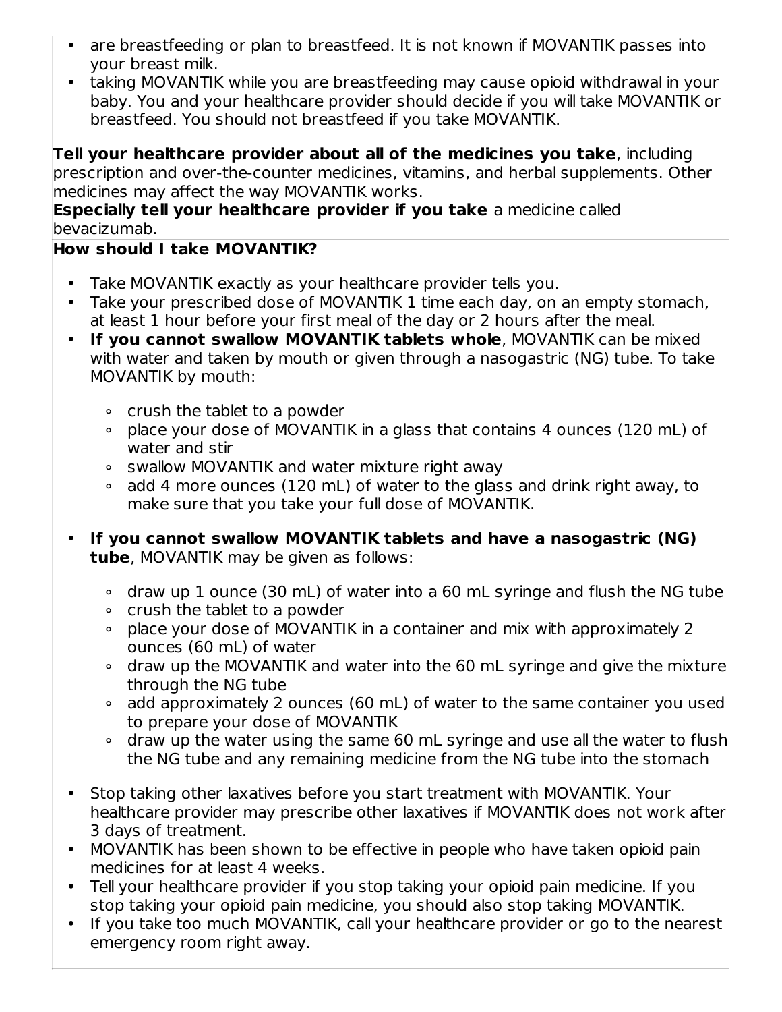- are breastfeeding or plan to breastfeed. It is not known if MOVANTIK passes into your breast milk.
- taking MOVANTIK while you are breastfeeding may cause opioid withdrawal in your baby. You and your healthcare provider should decide if you will take MOVANTIK or breastfeed. You should not breastfeed if you take MOVANTIK.

**Tell your healthcare provider about all of the medicines you take**, including prescription and over-the-counter medicines, vitamins, and herbal supplements. Other medicines may affect the way MOVANTIK works.

**Especially tell your healthcare provider if you take** a medicine called bevacizumab.

## **How should I take MOVANTIK?**

- Take MOVANTIK exactly as your healthcare provider tells you.
- Take your prescribed dose of MOVANTIK 1 time each day, on an empty stomach, at least 1 hour before your first meal of the day or 2 hours after the meal.
- **If you cannot swallow MOVANTIK tablets whole**, MOVANTIK can be mixed with water and taken by mouth or given through a nasogastric (NG) tube. To take MOVANTIK by mouth:
	- ∘ crush the tablet to a powder
	- ∘ place your dose of MOVANTIK in a glass that contains 4 ounces (120 mL) of water and stir
	- ∘ swallow MOVANTIK and water mixture right away
	- ∘ add 4 more ounces (120 mL) of water to the glass and drink right away, to make sure that you take your full dose of MOVANTIK.
- **If you cannot swallow MOVANTIK tablets and have a nasogastric (NG) tube**, MOVANTIK may be given as follows:
	- ∘ draw up 1 ounce (30 mL) of water into a 60 mL syringe and flush the NG tube
	- ∘ crush the tablet to a powder
	- ∘ place your dose of MOVANTIK in a container and mix with approximately 2 ounces (60 mL) of water
	- ∘ draw up the MOVANTIK and water into the 60 mL syringe and give the mixture through the NG tube
	- ∘ add approximately 2 ounces (60 mL) of water to the same container you used to prepare your dose of MOVANTIK
	- ∘ draw up the water using the same 60 mL syringe and use all the water to flush the NG tube and any remaining medicine from the NG tube into the stomach
- Stop taking other laxatives before you start treatment with MOVANTIK. Your healthcare provider may prescribe other laxatives if MOVANTIK does not work after 3 days of treatment.
- MOVANTIK has been shown to be effective in people who have taken opioid pain medicines for at least 4 weeks.
- Tell your healthcare provider if you stop taking your opioid pain medicine. If you stop taking your opioid pain medicine, you should also stop taking MOVANTIK.
- If you take too much MOVANTIK, call your healthcare provider or go to the nearest emergency room right away.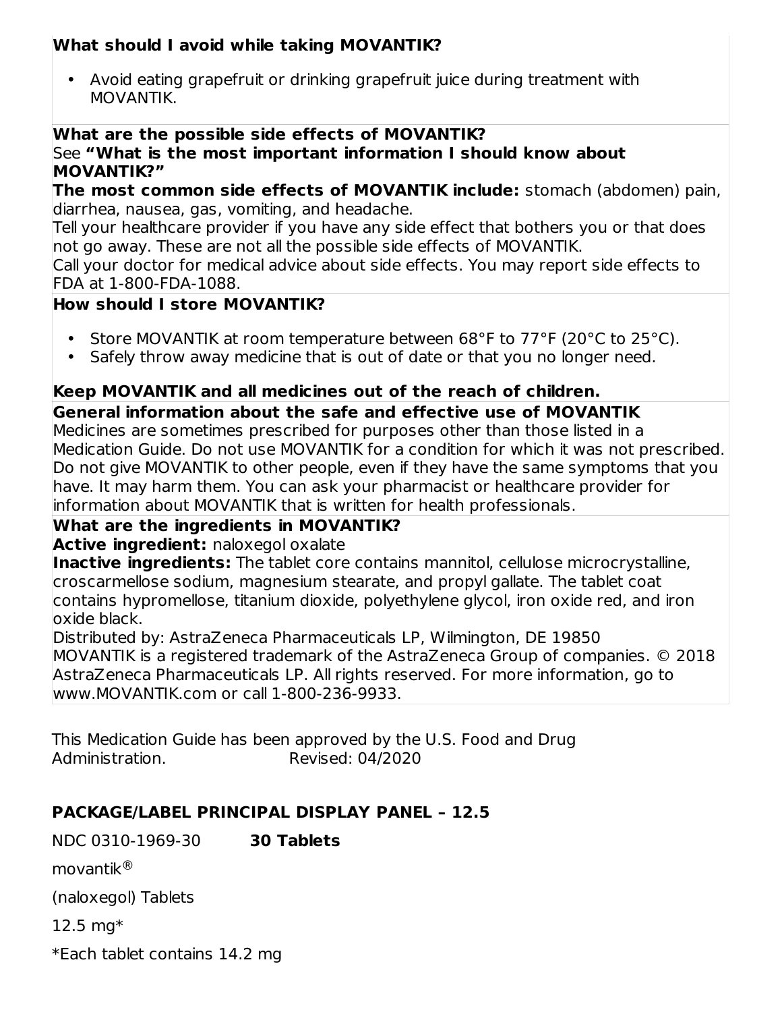### **What should I avoid while taking MOVANTIK?**

• Avoid eating grapefruit or drinking grapefruit juice during treatment with MOVANTIK.

#### **What are the possible side effects of MOVANTIK?** See **"What is the most important information I should know about MOVANTIK?"**

**The most common side effects of MOVANTIK include:** stomach (abdomen) pain, diarrhea, nausea, gas, vomiting, and headache.

Tell your healthcare provider if you have any side effect that bothers you or that does not go away. These are not all the possible side effects of MOVANTIK.

Call your doctor for medical advice about side effects. You may report side effects to FDA at 1-800-FDA-1088.

### **How should I store MOVANTIK?**

- Store MOVANTIK at room temperature between 68°F to 77°F (20°C to 25°C).
- Safely throw away medicine that is out of date or that you no longer need.

## **Keep MOVANTIK and all medicines out of the reach of children.**

### **General information about the safe and effective use of MOVANTIK**

Medicines are sometimes prescribed for purposes other than those listed in a Medication Guide. Do not use MOVANTIK for a condition for which it was not prescribed. Do not give MOVANTIK to other people, even if they have the same symptoms that you have. It may harm them. You can ask your pharmacist or healthcare provider for information about MOVANTIK that is written for health professionals.

### **What are the ingredients in MOVANTIK?**

**Active ingredient:** naloxegol oxalate

**Inactive ingredients:** The tablet core contains mannitol, cellulose microcrystalline, croscarmellose sodium, magnesium stearate, and propyl gallate. The tablet coat contains hypromellose, titanium dioxide, polyethylene glycol, iron oxide red, and iron oxide black.

Distributed by: AstraZeneca Pharmaceuticals LP, Wilmington, DE 19850 MOVANTIK is a registered trademark of the AstraZeneca Group of companies. © 2018 AstraZeneca Pharmaceuticals LP. All rights reserved. For more information, go to www.MOVANTIK.com or call 1-800-236-9933.

This Medication Guide has been approved by the U.S. Food and Drug Administration. Revised: 04/2020

### **PACKAGE/LABEL PRINCIPAL DISPLAY PANEL – 12.5**

NDC 0310-1969-30 **30 Tablets**

movantik ®

(naloxegol) Tablets

12.5 mg\*

\*Each tablet contains 14.2 mg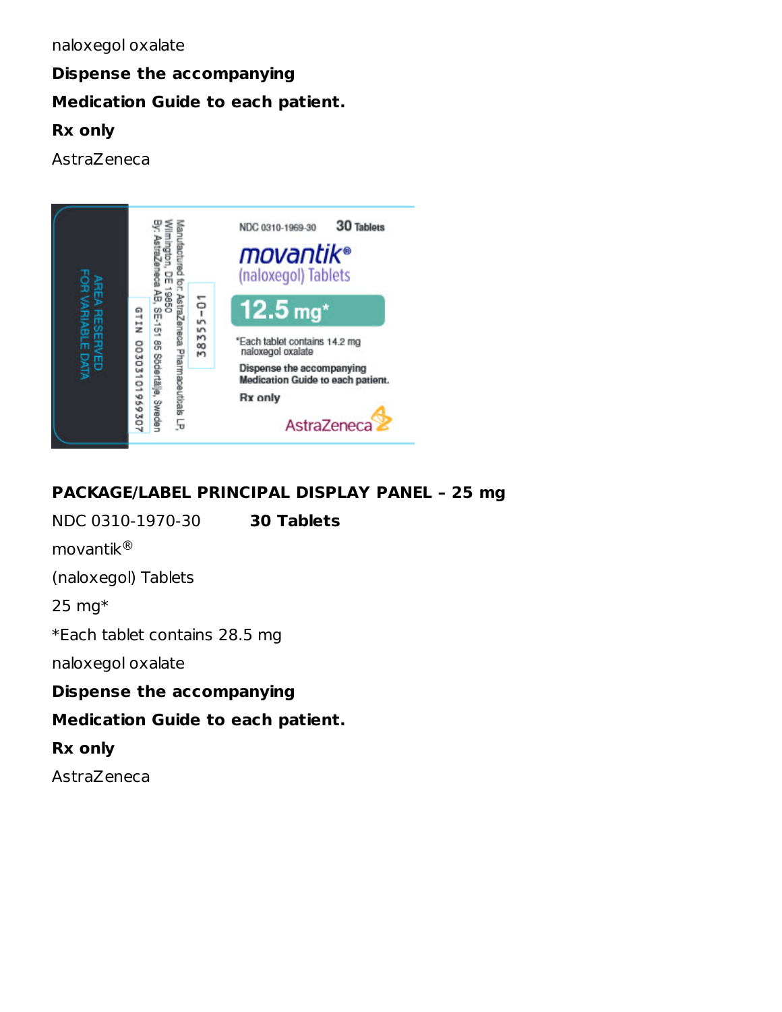# **Dispense the accompanying Medication Guide to each patient. Rx only**

AstraZeneca



## **PACKAGE/LABEL PRINCIPAL DISPLAY PANEL – 25 mg**

NDC 0310-1970-30 **30 Tablets** movantik ®(naloxegol) Tablets 25 mg\* \*Each tablet contains 28.5 mg naloxegol oxalate **Dispense the accompanying Medication Guide to each patient. Rx only** AstraZeneca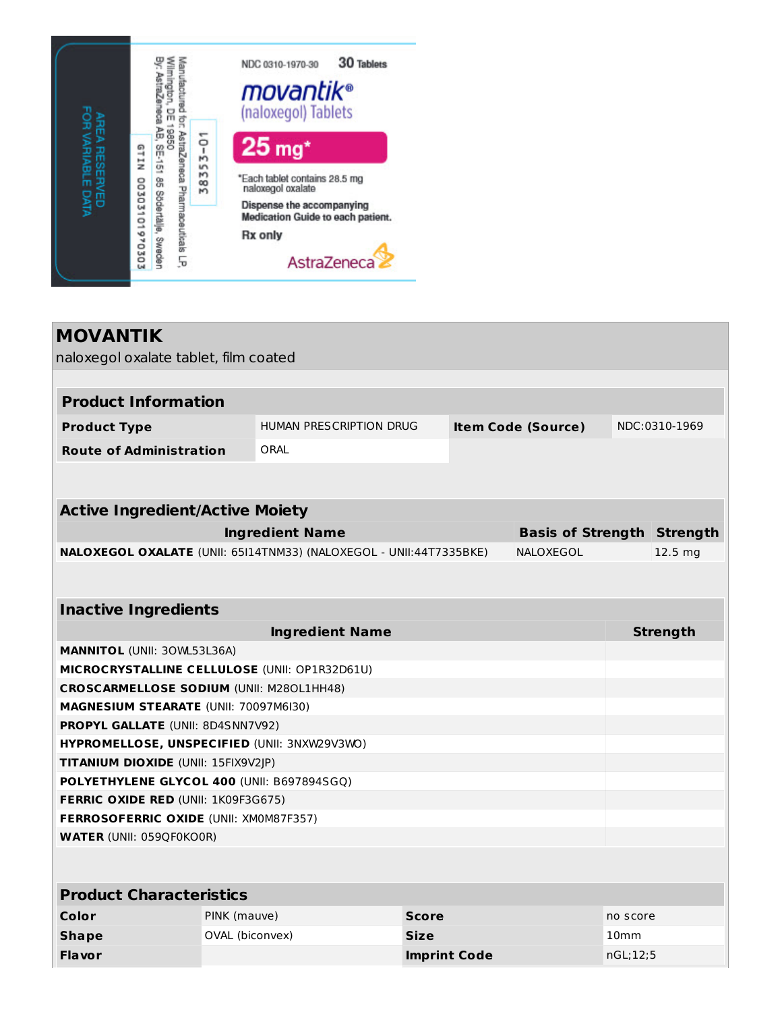

| <b>MOVANTIK</b>                                                                          |                 |                                |              |                     |                                   |                  |                    |
|------------------------------------------------------------------------------------------|-----------------|--------------------------------|--------------|---------------------|-----------------------------------|------------------|--------------------|
| naloxegol oxalate tablet, film coated                                                    |                 |                                |              |                     |                                   |                  |                    |
|                                                                                          |                 |                                |              |                     |                                   |                  |                    |
| <b>Product Information</b>                                                               |                 |                                |              |                     |                                   |                  |                    |
| <b>Product Type</b>                                                                      |                 | <b>HUMAN PRESCRIPTION DRUG</b> |              |                     | <b>Item Code (Source)</b>         |                  | NDC:0310-1969      |
| <b>Route of Administration</b>                                                           |                 | ORAL                           |              |                     |                                   |                  |                    |
|                                                                                          |                 |                                |              |                     |                                   |                  |                    |
|                                                                                          |                 |                                |              |                     |                                   |                  |                    |
| <b>Active Ingredient/Active Moiety</b>                                                   |                 |                                |              |                     |                                   |                  |                    |
|                                                                                          |                 | <b>Ingredient Name</b>         |              |                     | <b>Basis of Strength Strength</b> |                  |                    |
| <b>NALOXEGOL OXALATE</b> (UNII: 65I14TNM33) (NALOXEGOL - UNII:44T7335BKE)                |                 |                                |              |                     | NALOXEGOL                         |                  | 12.5 <sub>mg</sub> |
|                                                                                          |                 |                                |              |                     |                                   |                  |                    |
|                                                                                          |                 |                                |              |                     |                                   |                  |                    |
| <b>Inactive Ingredients</b>                                                              |                 |                                |              |                     |                                   |                  |                    |
|                                                                                          |                 | <b>Ingredient Name</b>         |              |                     |                                   |                  | <b>Strength</b>    |
| <b>MANNITOL (UNII: 30WL53L36A)</b>                                                       |                 |                                |              |                     |                                   |                  |                    |
| MICROCRYSTALLINE CELLULOSE (UNII: OP1R32D61U)                                            |                 |                                |              |                     |                                   |                  |                    |
| <b>CROSCARMELLOSE SODIUM (UNII: M280L1HH48)</b><br>MAGNESIUM STEARATE (UNII: 70097M6I30) |                 |                                |              |                     |                                   |                  |                    |
| <b>PROPYL GALLATE (UNII: 8D4SNN7V92)</b>                                                 |                 |                                |              |                     |                                   |                  |                    |
| HYPROMELLOSE, UNSPECIFIED (UNII: 3NXW29V3WO)                                             |                 |                                |              |                     |                                   |                  |                    |
| TITANIUM DIOXIDE (UNII: 15FIX9V2JP)                                                      |                 |                                |              |                     |                                   |                  |                    |
| POLYETHYLENE GLYCOL 400 (UNII: B697894SGQ)                                               |                 |                                |              |                     |                                   |                  |                    |
| <b>FERRIC OXIDE RED (UNII: 1K09F3G675)</b>                                               |                 |                                |              |                     |                                   |                  |                    |
| FERROSOFERRIC OXIDE (UNII: XM0M87F357)                                                   |                 |                                |              |                     |                                   |                  |                    |
| <b>WATER (UNII: 059QF0KO0R)</b>                                                          |                 |                                |              |                     |                                   |                  |                    |
|                                                                                          |                 |                                |              |                     |                                   |                  |                    |
|                                                                                          |                 |                                |              |                     |                                   |                  |                    |
| <b>Product Characteristics</b>                                                           |                 |                                |              |                     |                                   |                  |                    |
| Color                                                                                    | PINK (mauve)    |                                | <b>Score</b> |                     |                                   | no score         |                    |
| <b>Shape</b>                                                                             | OVAL (biconvex) |                                | <b>Size</b>  |                     |                                   | 10 <sub>mm</sub> |                    |
| <b>Flavor</b>                                                                            |                 |                                |              | <b>Imprint Code</b> |                                   | nGL;12;5         |                    |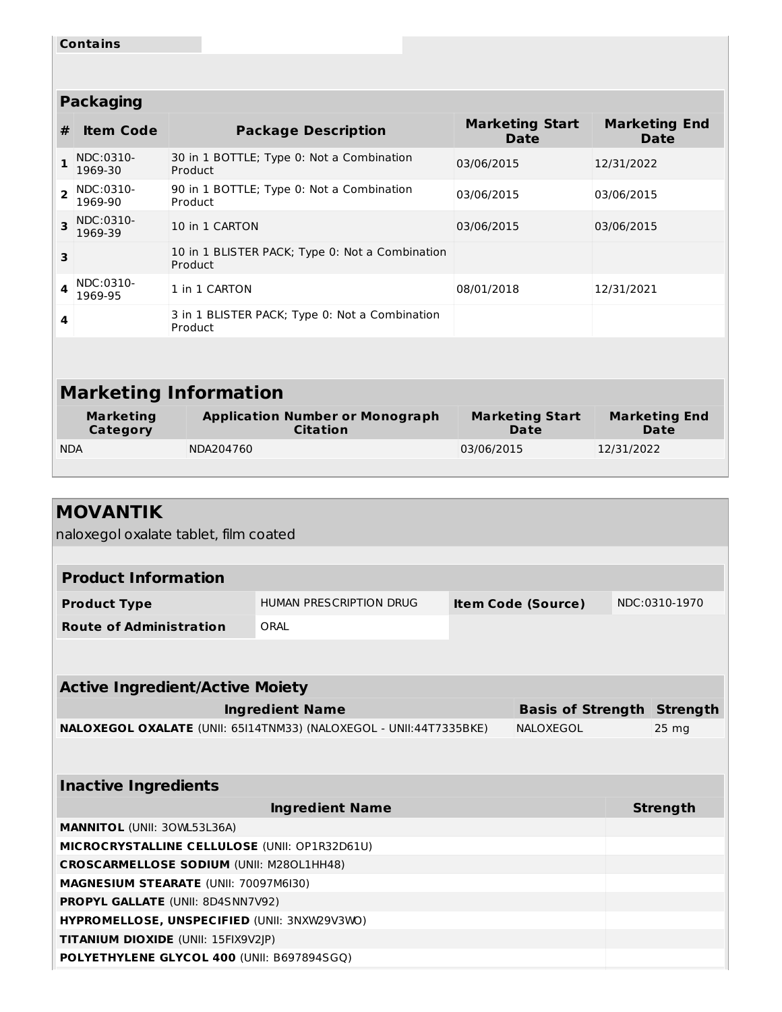|                | <b>Contains</b>              |                                                            |                                       |                                     |  |  |  |  |
|----------------|------------------------------|------------------------------------------------------------|---------------------------------------|-------------------------------------|--|--|--|--|
|                |                              |                                                            |                                       |                                     |  |  |  |  |
|                |                              |                                                            |                                       |                                     |  |  |  |  |
|                | <b>Packaging</b>             |                                                            |                                       |                                     |  |  |  |  |
| #              | <b>Item Code</b>             | <b>Package Description</b>                                 | <b>Marketing Start</b><br><b>Date</b> | <b>Marketing End</b><br><b>Date</b> |  |  |  |  |
| $\mathbf{1}$   | NDC:0310-<br>1969-30         | 30 in 1 BOTTLE; Type 0: Not a Combination<br>Product       | 03/06/2015                            | 12/31/2022                          |  |  |  |  |
| $\overline{2}$ | NDC:0310-<br>1969-90         | 90 in 1 BOTTLE; Type 0: Not a Combination<br>Product       | 03/06/2015                            | 03/06/2015                          |  |  |  |  |
| 3              | NDC:0310-<br>1969-39         | 10 in 1 CARTON                                             | 03/06/2015                            | 03/06/2015                          |  |  |  |  |
| 3              |                              | 10 in 1 BLISTER PACK; Type 0: Not a Combination<br>Product |                                       |                                     |  |  |  |  |
| 4              | NDC:0310-<br>1969-95         | 1 in 1 CARTON                                              | 08/01/2018                            | 12/31/2021                          |  |  |  |  |
| 4              |                              | 3 in 1 BLISTER PACK; Type 0: Not a Combination<br>Product  |                                       |                                     |  |  |  |  |
|                |                              |                                                            |                                       |                                     |  |  |  |  |
|                | <b>Marketing Information</b> |                                                            |                                       |                                     |  |  |  |  |
|                | <b>Marketing</b><br>Category | <b>Application Number or Monograph</b><br><b>Citation</b>  | <b>Marketing Start</b><br>Date        | <b>Marketing End</b><br><b>Date</b> |  |  |  |  |
| <b>NDA</b>     |                              | NDA204760                                                  | 03/06/2015                            | 12/31/2022                          |  |  |  |  |
|                |                              |                                                            |                                       |                                     |  |  |  |  |

| <b>MOVANTIK</b>                                                    |                         |                                   |                  |
|--------------------------------------------------------------------|-------------------------|-----------------------------------|------------------|
| naloxegol oxalate tablet, film coated                              |                         |                                   |                  |
|                                                                    |                         |                                   |                  |
| <b>Product Information</b>                                         |                         |                                   |                  |
| <b>Product Type</b>                                                | HUMAN PRESCRIPTION DRUG | <b>Item Code (Source)</b>         | NDC:0310-1970    |
| <b>Route of Administration</b>                                     | ORAL                    |                                   |                  |
|                                                                    |                         |                                   |                  |
|                                                                    |                         |                                   |                  |
| <b>Active Ingredient/Active Moiety</b>                             |                         |                                   |                  |
|                                                                    | <b>Ingredient Name</b>  | <b>Basis of Strength Strength</b> |                  |
| NALOXEGOL OXALATE (UNII: 65I14TNM33) (NALOXEGOL - UNII:44T7335BKE) |                         | NALOXEGOL                         | 25 <sub>mg</sub> |
|                                                                    |                         |                                   |                  |
|                                                                    |                         |                                   |                  |
| <b>Inactive Ingredients</b>                                        |                         |                                   |                  |
|                                                                    | <b>Ingredient Name</b>  |                                   | <b>Strength</b>  |
| <b>MANNITOL (UNII: 30WL53L36A)</b>                                 |                         |                                   |                  |
| MICROCRYSTALLINE CELLULOSE (UNII: OP1R32D61U)                      |                         |                                   |                  |
| <b>CROSCARMELLOSE SODIUM (UNII: M280L1HH48)</b>                    |                         |                                   |                  |
| MAGNESIUM STEARATE (UNII: 70097M6I30)                              |                         |                                   |                  |
| <b>PROPYL GALLATE (UNII: 8D4SNN7V92)</b>                           |                         |                                   |                  |
| HYPROMELLOSE, UNSPECIFIED (UNII: 3NXW29V3WO)                       |                         |                                   |                  |
| TITANIUM DIOXIDE (UNII: 15FIX9V2JP)                                |                         |                                   |                  |
| POLYETHYLENE GLYCOL 400 (UNII: B697894SGQ)                         |                         |                                   |                  |